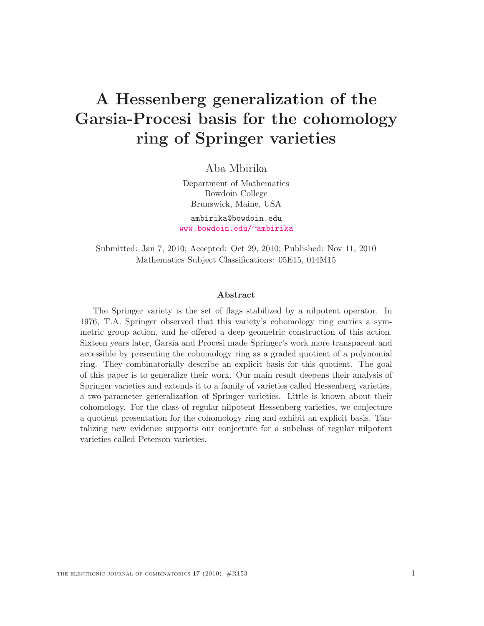# A Hessenberg generalization of the Garsia-Procesi basis for the cohomology ring of Springer varieties

Aba Mbirika

Department of Mathematics Bowdoin College Brunswick, Maine, USA

ambirika@bowdoin.edu [www.bowdoin.edu/](www.bowdoin.edu/~ambirika)∼ambirika

Submitted: Jan 7, 2010; Accepted: Oct 29, 2010; Published: Nov 11, 2010 Mathematics Subject Classifications: 05E15, 014M15

#### Abstract

The Springer variety is the set of flags stabilized by a nilpotent operator. In 1976, T.A. Springer observed that this variety's cohomology ring carries a symmetric group action, and he offered a deep geometric construction of this action. Sixteen years later, Garsia and Procesi made Springer's work more transparent and accessible by presenting the cohomology ring as a graded quotient of a polynomial ring. They combinatorially describe an explicit basis for this quotient. The goal of this paper is to generalize their work. Our main result deepens their analysis of Springer varieties and extends it to a family of varieties called Hessenberg varieties, a two-parameter generalization of Springer varieties. Little is known about their cohomology. For the class of regular nilpotent Hessenberg varieties, we conjecture a quotient presentation for the cohomology ring and exhibit an explicit basis. Tantalizing new evidence supports our conjecture for a subclass of regular nilpotent varieties called Peterson varieties.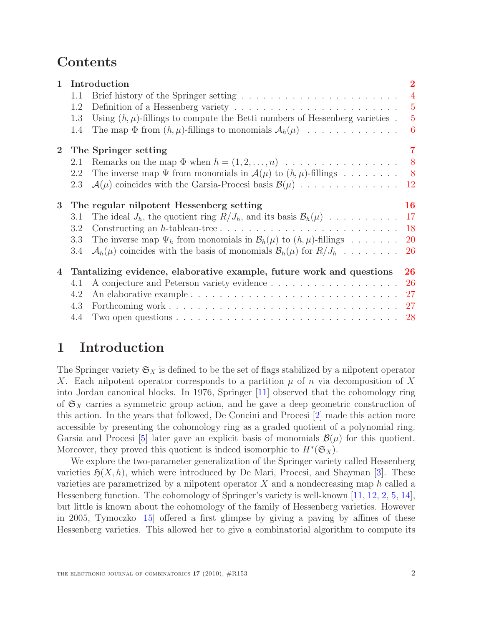## Contents

| $\mathbf{1}$   | Introduction                                                               |                                                                                                                    |                |
|----------------|----------------------------------------------------------------------------|--------------------------------------------------------------------------------------------------------------------|----------------|
|                | 1.1                                                                        |                                                                                                                    | $\overline{4}$ |
|                | 1.2                                                                        | Definition of a Hessenberg variety $\dots \dots \dots \dots \dots \dots \dots \dots \dots$                         | $\overline{5}$ |
|                | 1.3                                                                        | Using $(h, \mu)$ -fillings to compute the Betti numbers of Hessenberg varieties.                                   | $\overline{5}$ |
|                | 1.4                                                                        | The map $\Phi$ from $(h, \mu)$ -fillings to monomials $\mathcal{A}_h(\mu)$                                         | - 6            |
| $\mathbf{2}$   |                                                                            | The Springer setting                                                                                               | $\overline{7}$ |
|                | 2.1                                                                        | Remarks on the map $\Phi$ when $h = (1, 2, \ldots, n)$                                                             | 8 <sup>8</sup> |
|                | 2.2                                                                        | The inverse map $\Psi$ from monomials in $\mathcal{A}(\mu)$ to $(h, \mu)$ -fillings                                | 8 <sup>8</sup> |
|                | 2.3                                                                        | $\mathcal{A}(\mu)$ coincides with the Garsia-Procesi basis $\mathcal{B}(\mu)$                                      | 12             |
| 3              |                                                                            | The regular nilpotent Hessenberg setting                                                                           | <b>16</b>      |
|                | 3.1                                                                        | The ideal $J_h$ , the quotient ring $R/J_h$ , and its basis $\mathcal{B}_h(\mu)$                                   | 17             |
|                | 3.2                                                                        |                                                                                                                    | 18             |
|                | 3.3                                                                        | The inverse map $\Psi_h$ from monomials in $\mathcal{B}_h(\mu)$ to $(h, \mu)$ -fillings                            | <b>20</b>      |
|                | 3.4                                                                        | $\mathcal{A}_h(\mu)$ coincides with the basis of monomials $\mathcal{B}_h(\mu)$ for $R/J_h$                        | <b>26</b>      |
| $\overline{4}$ | Tantalizing evidence, elaborative example, future work and questions<br>26 |                                                                                                                    |                |
|                | 4.1                                                                        |                                                                                                                    | 26             |
|                | 4.2                                                                        |                                                                                                                    | 27             |
|                | 4.3                                                                        |                                                                                                                    | 27             |
|                | 4.4                                                                        | Two open questions $\ldots \ldots \ldots \ldots \ldots \ldots \ldots \ldots \ldots \ldots \ldots \ldots \ldots 28$ |                |

## <span id="page-1-0"></span>1 Introduction

The Springer variety  $\mathfrak{S}_X$  is defined to be the set of flags stabilized by a nilpotent operator X. Each nilpotent operator corresponds to a partition  $\mu$  of n via decomposition of X into Jordan canonical blocks. In 1976, Springer [\[11\]](#page-28-0) observed that the cohomology ring of  $\mathfrak{S}_X$  carries a symmetric group action, and he gave a deep geometric construction of this action. In the years that followed, De Concini and Procesi [\[2\]](#page-27-1) made this action more accessible by presenting the cohomology ring as a graded quotient of a polynomial ring. Garsia and Procesi [\[5\]](#page-27-2) later gave an explicit basis of monomials  $\mathcal{B}(\mu)$  for this quotient. Moreover, they proved this quotient is indeed isomorphic to  $H^*(\mathfrak{S}_X)$ .

We explore the two-parameter generalization of the Springer variety called Hessenberg varieties  $\mathfrak{H}(X, h)$ , which were introduced by De Mari, Procesi, and Shayman [\[3\]](#page-27-3). These varieties are parametrized by a nilpotent operator  $X$  and a nondecreasing map h called a Hessenberg function. The cohomology of Springer's variety is well-known [\[11,](#page-28-0) [12,](#page-28-1) [2,](#page-27-1) [5,](#page-27-2) [14\]](#page-28-2), but little is known about the cohomology of the family of Hessenberg varieties. However in 2005, Tymoczko [\[15\]](#page-28-3) offered a first glimpse by giving a paving by affines of these Hessenberg varieties. This allowed her to give a combinatorial algorithm to compute its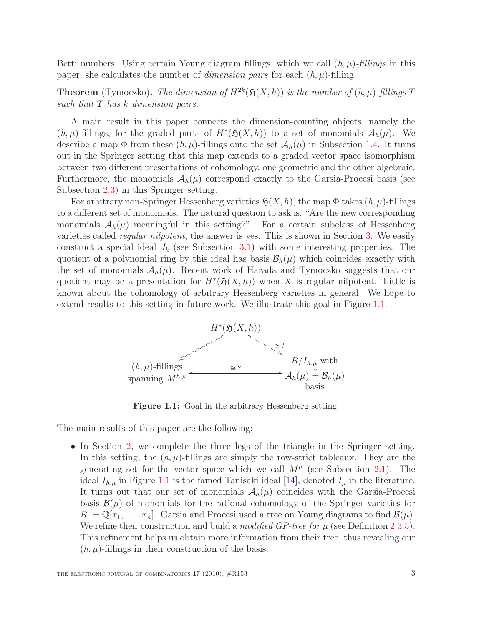Betti numbers. Using certain Young diagram fillings, which we call  $(h, \mu)$ -fillings in this paper, she calculates the number of *dimension pairs* for each  $(h, \mu)$ -filling.

**Theorem** (Tymoczko). The dimension of  $H^{2k}(\mathfrak{H}(X,h))$  is the number of  $(h,\mu)$ -fillings T such that  $T$  has  $k$  dimension pairs.

A main result in this paper connects the dimension-counting objects, namely the  $(h, \mu)$ -fillings, for the graded parts of  $H^*(\mathfrak{H}(X, h))$  to a set of monomials  $\mathcal{A}_h(\mu)$ . We describe a map  $\Phi$  from these  $(h, \mu)$ -fillings onto the set  $\mathcal{A}_h(\mu)$  in Subsection [1.4.](#page-5-0) It turns out in the Springer setting that this map extends to a graded vector space isomorphism between two different presentations of cohomology, one geometric and the other algebraic. Furthermore, the monomials  $\mathcal{A}_h(\mu)$  correspond exactly to the Garsia-Procesi basis (see Subsection [2.3\)](#page-11-0) in this Springer setting.

For arbitrary non-Springer Hessenberg varieties  $\mathfrak{H}(X, h)$ , the map  $\Phi$  takes  $(h, \mu)$ -fillings to a different set of monomials. The natural question to ask is, "Are the new corresponding monomials  $A_h(\mu)$  meaningful in this setting?". For a certain subclass of Hessenberg varieties called *regular nilpotent*, the answer is yes. This is shown in Section [3.](#page-15-0) We easily construct a special ideal  $J_h$  (see Subsection [3.1\)](#page-16-0) with some interesting properties. The quotient of a polynomial ring by this ideal has basis  $\mathcal{B}_h(\mu)$  which coincides exactly with the set of monomials  $A_h(\mu)$ . Recent work of Harada and Tymoczko suggests that our quotient may be a presentation for  $H^*(\mathfrak{H}(X,h))$  when X is regular nilpotent. Little is known about the cohomology of arbitrary Hessenberg varieties in general. We hope to extend results to this setting in future work. We illustrate this goal in Figure [1.1.](#page-2-0)



<span id="page-2-0"></span>Figure 1.1: Goal in the arbitrary Hessenberg setting.

The main results of this paper are the following:

• In Section [2,](#page-6-0) we complete the three legs of the triangle in the Springer setting. In this setting, the  $(h, \mu)$ -fillings are simply the row-strict tableaux. They are the generating set for the vector space which we call  $M^{\mu}$  (see Subsection [2.1\)](#page-7-0). The ideal  $I_{h,\mu}$  in Figure [1.1](#page-2-0) is the famed Tanisaki ideal [\[14\]](#page-28-2), denoted  $I_{\mu}$  in the literature. It turns out that our set of monomials  $A_h(\mu)$  coincides with the Garsia-Procesi basis  $\mathcal{B}(\mu)$  of monomials for the rational cohomology of the Springer varieties for  $R := \mathbb{Q}[x_1, \ldots, x_n]$ . Garsia and Procesi used a tree on Young diagrams to find  $\mathcal{B}(\mu)$ . We refine their construction and build a *modified GP-tree for*  $\mu$  (see Definition [2.3.5\)](#page-12-0). This refinement helps us obtain more information from their tree, thus revealing our  $(h, \mu)$ -fillings in their construction of the basis.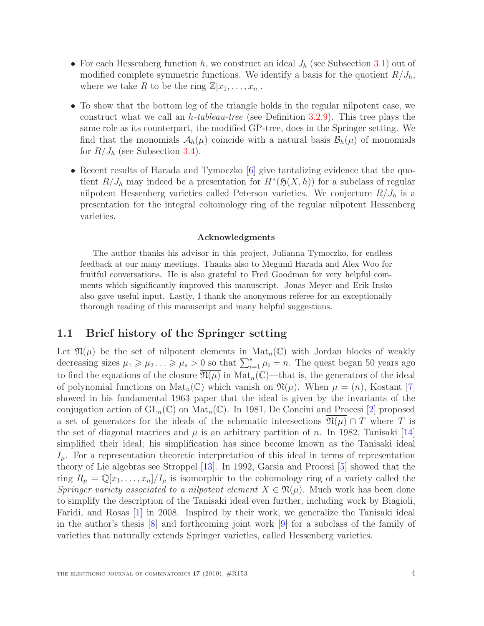- For each Hessenberg function  $h$ , we construct an ideal  $J_h$  (see Subsection [3.1\)](#page-16-0) out of modified complete symmetric functions. We identify a basis for the quotient  $R/J_h$ , where we take R to be the ring  $\mathbb{Z}[x_1, \ldots, x_n].$
- To show that the bottom leg of the triangle holds in the regular nilpotent case, we construct what we call an h-tableau-tree (see Definition [3.2.9\)](#page-18-0). This tree plays the same role as its counterpart, the modified GP-tree, does in the Springer setting. We find that the monomials  $A_h(\mu)$  coincide with a natural basis  $B_h(\mu)$  of monomials for  $R/J_h$  (see Subsection [3.4\)](#page-25-0).
- Recent results of Harada and Tymoczko [\[6\]](#page-27-4) give tantalizing evidence that the quotient  $R/J_h$  may indeed be a presentation for  $H^*(\mathfrak{H}(X,h))$  for a subclass of regular nilpotent Hessenberg varieties called Peterson varieties. We conjecture  $R/J_h$  is a presentation for the integral cohomology ring of the regular nilpotent Hessenberg varieties.

#### Acknowledgments

The author thanks his advisor in this project, Julianna Tymoczko, for endless feedback at our many meetings. Thanks also to Megumi Harada and Alex Woo for fruitful conversations. He is also grateful to Fred Goodman for very helpful comments which significantly improved this manuscript. Jonas Meyer and Erik Insko also gave useful input. Lastly, I thank the anonymous referee for an exceptionally thorough reading of this manuscript and many helpful suggestions.

### <span id="page-3-0"></span>1.1 Brief history of the Springer setting

Let  $\mathfrak{N}(\mu)$  be the set of nilpotent elements in  $\text{Mat}_n(\mathbb{C})$  with Jordan blocks of weakly decreasing sizes  $\mu_1 \geq \mu_2 \ldots \geq \mu_s > 0$  so that  $\sum_{i=1}^s \mu_i = n$ . The quest began 50 years ago to find the equations of the closure  $\overline{\mathfrak{N}(\mu)}$  in  $\mathrm{Mat}_n(\mathbb{C})$ —that is, the generators of the ideal of polynomial functions on  $\text{Mat}_n(\mathbb{C})$  which vanish on  $\mathfrak{N}(\mu)$ . When  $\mu = (n)$ , Kostant [\[7\]](#page-27-5) showed in his fundamental 1963 paper that the ideal is given by the invariants of the conjugation action of  $GL_n(\mathbb{C})$  on  $Mat_n(\mathbb{C})$ . In 1981, De Concini and Procesi [\[2\]](#page-27-1) proposed a set of generators for the ideals of the schematic intersections  $\mathfrak{N}(\mu) \cap T$  where T is the set of diagonal matrices and  $\mu$  is an arbitrary partition of n. In 1982, Tanisaki [\[14\]](#page-28-2) simplified their ideal; his simplification has since become known as the Tanisaki ideal  $I_{\mu}$ . For a representation theoretic interpretation of this ideal in terms of representation theory of Lie algebras see Stroppel [\[13\]](#page-28-4). In 1992, Garsia and Procesi [\[5\]](#page-27-2) showed that the ring  $R_{\mu} = \mathbb{Q}[x_1,\ldots,x_n]/I_{\mu}$  is isomorphic to the cohomology ring of a variety called the Springer variety associated to a nilpotent element  $X \in \mathfrak{N}(\mu)$ . Much work has been done to simplify the description of the Tanisaki ideal even further, including work by Biagioli, Faridi, and Rosas [\[1\]](#page-27-6) in 2008. Inspired by their work, we generalize the Tanisaki ideal in the author's thesis [\[8\]](#page-27-7) and forthcoming joint work [\[9\]](#page-27-8) for a subclass of the family of varieties that naturally extends Springer varieties, called Hessenberg varieties.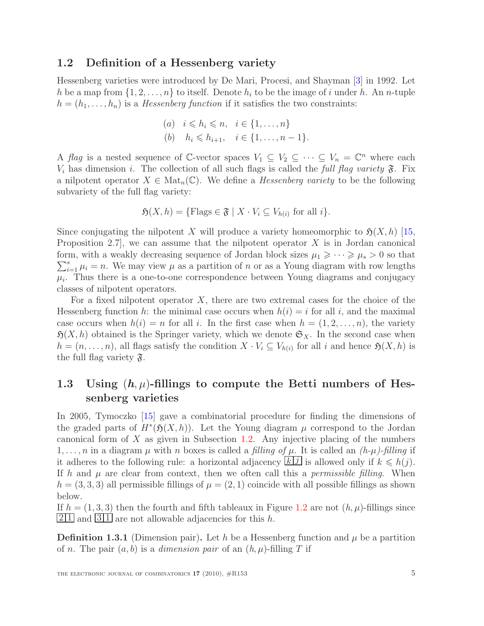#### <span id="page-4-0"></span>1.2 Definition of a Hessenberg variety

Hessenberg varieties were introduced by De Mari, Procesi, and Shayman [\[3\]](#page-27-3) in 1992. Let h be a map from  $\{1, 2, \ldots, n\}$  to itself. Denote  $h_i$  to be the image of i under h. An n-tuple  $h = (h_1, \ldots, h_n)$  is a *Hessenberg function* if it satisfies the two constraints:

(a) 
$$
i \le h_i \le n, \quad i \in \{1, ..., n\}
$$
  
(b)  $h_i \le h_{i+1}, \quad i \in \{1, ..., n-1\}.$ 

A flag is a nested sequence of C-vector spaces  $V_1 \subseteq V_2 \subseteq \cdots \subseteq V_n = \mathbb{C}^n$  where each  $V_i$  has dimension i. The collection of all such flags is called the full flag variety  $\mathfrak{F}$ . Fix a nilpotent operator  $X \in Mat_n(\mathbb{C})$ . We define a *Hessenberg variety* to be the following subvariety of the full flag variety:

$$
\mathfrak{H}(X,h) = \{ \text{Flags} \in \mathfrak{F} \mid X \cdot V_i \subseteq V_{h(i)} \text{ for all } i \}.
$$

Since conjugating the nilpotent X will produce a variety homeomorphic to  $\mathfrak{H}(X, h)$  [\[15,](#page-28-3) Proposition 2.7, we can assume that the nilpotent operator  $X$  is in Jordan canonical  $\sum_{i=1}^{s} \mu_i = n$ . We may view  $\mu$  as a partition of n or as a Young diagram with row lengths form, with a weakly decreasing sequence of Jordan block sizes  $\mu_1 \geqslant \cdots \geqslant \mu_s > 0$  so that  $\mu_i$ . Thus there is a one-to-one correspondence between Young diagrams and conjugacy classes of nilpotent operators.

For a fixed nilpotent operator  $X$ , there are two extremal cases for the choice of the Hessenberg function h: the minimal case occurs when  $h(i) = i$  for all i, and the maximal case occurs when  $h(i) = n$  for all i. In the first case when  $h = (1, 2, \ldots, n)$ , the variety  $\mathfrak{H}(X, h)$  obtained is the Springer variety, which we denote  $\mathfrak{S}_X$ . In the second case when  $h = (n, \ldots, n)$ , all flags satisfy the condition  $X \cdot V_i \subseteq V_{h(i)}$  for all i and hence  $\mathfrak{H}(X, h)$  is the full flag variety  $\mathfrak{F}.$ 

## <span id="page-4-1"></span>1.3 Using  $(h, \mu)$ -fillings to compute the Betti numbers of Hessenberg varieties

In 2005, Tymoczko [\[15\]](#page-28-3) gave a combinatorial procedure for finding the dimensions of the graded parts of  $H^*(\mathfrak{H}(X,h))$ . Let the Young diagram  $\mu$  correspond to the Jordan canonical form of  $X$  as given in Subsection [1.2.](#page-4-0) Any injective placing of the numbers 1,..., *n* in a diagram  $\mu$  with *n* boxes is called a *filling of*  $\mu$ . It is called an (*h-* $\mu$ )-*filling* if it adheres to the following rule: a horizontal adjacency  $\boxed{k \ j}$  is allowed only if  $k \leq h(j)$ . If h and  $\mu$  are clear from context, then we often call this a *permissible filling*. When  $h = (3, 3, 3)$  all permissible fillings of  $\mu = (2, 1)$  coincide with all possible fillings as shown below.

If  $h = (1, 3, 3)$  then the fourth and fifth tableaux in Figure [1.2](#page-5-1) are not  $(h, \mu)$ -fillings since  $\boxed{2|1}$  and  $\boxed{3|1}$  are not allowable adjacencies for this h.

**Definition 1.3.1** (Dimension pair). Let h be a Hessenberg function and  $\mu$  be a partition of n. The pair  $(a, b)$  is a *dimension pair* of an  $(h, \mu)$ -filling T if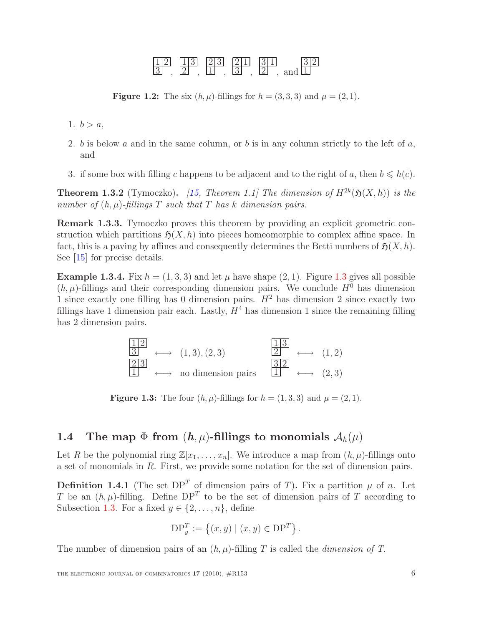

<span id="page-5-1"></span>**Figure 1.2:** The six  $(h, \mu)$ -fillings for  $h = (3, 3, 3)$  and  $\mu = (2, 1)$ .

- 1.  $b > a$ ,
- 2. b is below a and in the same column, or b is in any column strictly to the left of  $a$ , and
- 3. if some box with filling c happens to be adjacent and to the right of a, then  $b \le h(c)$ .

**Theorem 1.3.2** (Tymoczko). [\[15,](#page-28-3) Theorem 1.1] The dimension of  $H^{2k}(\mathfrak{H}(X,h))$  is the number of  $(h, \mu)$ -fillings T such that T has k dimension pairs.

Remark 1.3.3. Tymoczko proves this theorem by providing an explicit geometric construction which partitions  $\mathfrak{H}(X, h)$  into pieces homeomorphic to complex affine space. In fact, this is a paving by affines and consequently determines the Betti numbers of  $\mathfrak{H}(X, h)$ . See [\[15\]](#page-28-3) for precise details.

**Example [1.3](#page-5-2).4.** Fix  $h = (1, 3, 3)$  and let  $\mu$  have shape  $(2, 1)$ . Figure 1.3 gives all possible  $(h, \mu)$ -fillings and their corresponding dimension pairs. We conclude  $H^0$  has dimension 1 since exactly one filling has 0 dimension pairs.  $H^2$  has dimension 2 since exactly two fillings have 1 dimension pair each. Lastly,  $H<sup>4</sup>$  has dimension 1 since the remaining filling has 2 dimension pairs.

$$
\begin{array}{ccc}\n\boxed{12} & & \\
\boxed{3} & \longleftrightarrow & (1,3), (2,3) & \\
\boxed{23} & & \longleftrightarrow & (1,2) \\
\boxed{1} & & \longleftrightarrow & \text{no dimension pairs} & \boxed{1} & \longleftrightarrow & (2,3)\n\end{array}
$$

<span id="page-5-2"></span>**Figure 1.3:** The four  $(h, \mu)$ -fillings for  $h = (1, 3, 3)$  and  $\mu = (2, 1)$ .

### <span id="page-5-0"></span>1.4 The map  $\Phi$  from  $(h, \mu)$ -fillings to monomials  $\mathcal{A}_h(\mu)$

Let R be the polynomial ring  $\mathbb{Z}[x_1, \ldots, x_n]$ . We introduce a map from  $(h, \mu)$ -fillings onto a set of monomials in R. First, we provide some notation for the set of dimension pairs.

**Definition 1.4.1** (The set  $DP<sup>T</sup>$  of dimension pairs of T). Fix a partition  $\mu$  of n. Let T be an  $(h, \mu)$ -filling. Define DP<sup>T</sup> to be the set of dimension pairs of T according to Subsection [1.3.](#page-4-1) For a fixed  $y \in \{2, \ldots, n\}$ , define

$$
DP_y^T := \{(x, y) | (x, y) \in DP^T\}.
$$

The number of dimension pairs of an  $(h, \mu)$ -filling T is called the *dimension of T*.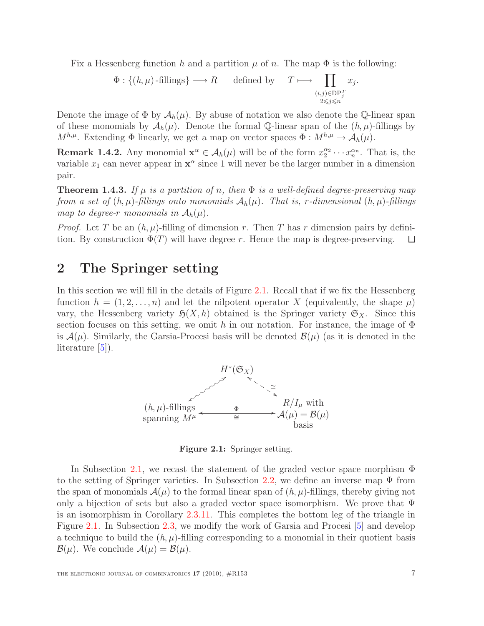Fix a Hessenberg function h and a partition  $\mu$  of n. The map  $\Phi$  is the following:

$$
\Phi: \{(h,\mu)\text{-fillings}\}\longrightarrow R\qquad\text{defined by}\qquad T\longmapsto \prod_{\substack{(i,j)\in \text{DP}_J^T\\2\leqslant j\leqslant n}} x_j.
$$

Denote the image of  $\Phi$  by  $\mathcal{A}_h(\mu)$ . By abuse of notation we also denote the Q-linear span of these monomials by  $\mathcal{A}_h(\mu)$ . Denote the formal Q-linear span of the  $(h, \mu)$ -fillings by  $M^{h,\mu}$ . Extending  $\Phi$  linearly, we get a map on vector spaces  $\Phi: M^{h,\mu} \to \mathcal{A}_h(\mu)$ .

<span id="page-6-3"></span>**Remark 1.4.2.** Any monomial  $\mathbf{x}^{\alpha} \in A_h(\mu)$  will be of the form  $x_2^{\alpha_2} \cdots x_n^{\alpha_n}$ . That is, the variable  $x_1$  can never appear in  $\mathbf{x}^\alpha$  since 1 will never be the larger number in a dimension pair.

<span id="page-6-2"></span>**Theorem 1.4.3.** If  $\mu$  is a partition of n, then  $\Phi$  is a well-defined degree-preserving map from a set of  $(h, \mu)$ -fillings onto monomials  $\mathcal{A}_h(\mu)$ . That is, r-dimensional  $(h, \mu)$ -fillings map to degree-r monomials in  $A_h(\mu)$ .

*Proof.* Let T be an  $(h, \mu)$ -filling of dimension r. Then T has r dimension pairs by definition. By construction  $\Phi(T)$  will have degree r. Hence the map is degree-preserving.  $\Box$ 

## <span id="page-6-0"></span>2 The Springer setting

In this section we will fill in the details of Figure [2.1.](#page-6-1) Recall that if we fix the Hessenberg function  $h = (1, 2, \ldots, n)$  and let the nilpotent operator X (equivalently, the shape  $\mu$ ) vary, the Hessenberg variety  $\mathfrak{H}(X, h)$  obtained is the Springer variety  $\mathfrak{S}_X$ . Since this section focuses on this setting, we omit h in our notation. For instance, the image of  $\Phi$ is  $\mathcal{A}(\mu)$ . Similarly, the Garsia-Procesi basis will be denoted  $\mathcal{B}(\mu)$  (as it is denoted in the literature [\[5\]](#page-27-2)).



<span id="page-6-1"></span>Figure 2.1: Springer setting.

In Subsection [2.1,](#page-7-0) we recast the statement of the graded vector space morphism Φ to the setting of Springer varieties. In Subsection [2.2,](#page-7-1) we define an inverse map  $\Psi$  from the span of monomials  $\mathcal{A}(\mu)$  to the formal linear span of  $(h, \mu)$ -fillings, thereby giving not only a bijection of sets but also a graded vector space isomorphism. We prove that  $\Psi$ is an isomorphism in Corollary [2.3.11.](#page-15-1) This completes the bottom leg of the triangle in Figure [2.1.](#page-6-1) In Subsection [2.3,](#page-11-0) we modify the work of Garsia and Procesi [\[5\]](#page-27-2) and develop a technique to build the  $(h, \mu)$ -filling corresponding to a monomial in their quotient basis  $\mathcal{B}(\mu)$ . We conclude  $\mathcal{A}(\mu) = \mathcal{B}(\mu)$ .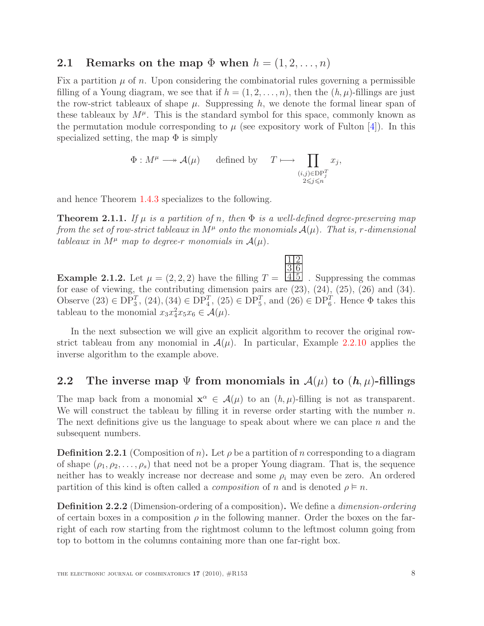### <span id="page-7-0"></span>2.1 Remarks on the map  $\Phi$  when  $h = (1, 2, \ldots, n)$

Fix a partition  $\mu$  of n. Upon considering the combinatorial rules governing a permissible filling of a Young diagram, we see that if  $h = (1, 2, \ldots, n)$ , then the  $(h, \mu)$ -fillings are just the row-strict tableaux of shape  $\mu$ . Suppressing h, we denote the formal linear span of these tableaux by  $M^{\mu}$ . This is the standard symbol for this space, commonly known as the permutation module corresponding to  $\mu$  (see expository work of Fulton [\[4\]](#page-27-9)). In this specialized setting, the map  $\Phi$  is simply

$$
\Phi: M^{\mu} \longrightarrow \mathcal{A}(\mu) \qquad \text{defined by} \qquad T \longmapsto \prod_{\substack{(i,j)\in \text{DP}_j^T \\ 2 \leq j \leq n}} x_j,
$$

and hence Theorem [1.4.3](#page-6-2) specializes to the following.

**Theorem 2.1.1.** If  $\mu$  is a partition of n, then  $\Phi$  is a well-defined degree-preserving map from the set of row-strict tableaux in  $M^{\mu}$  onto the monomials  $\mathcal{A}(\mu)$ . That is, r-dimensional tableaux in  $M^{\mu}$  map to degree-r monomials in  $\mathcal{A}(\mu)$ .

1 2

<span id="page-7-2"></span>**Example 2.1.2.** Let  $\mu = (2, 2, 2)$  have the filling  $T = \boxed{4 \, 5}$ 3 6 . Suppressing the commas for ease of viewing, the contributing dimension pairs are  $(23)$ ,  $(24)$ ,  $(25)$ ,  $(26)$  and  $(34)$ . Observe  $(23) \in DP_3^T$ ,  $(24)$ ,  $(34) \in DP_4^T$ ,  $(25) \in DP_5^T$ , and  $(26) \in DP_6^T$ . Hence  $\Phi$  takes this tableau to the monomial  $x_3x_4^2x_5x_6 \in \mathcal{A}(\mu)$ .

In the next subsection we will give an explicit algorithm to recover the original rowstrict tableau from any monomial in  $\mathcal{A}(\mu)$ . In particular, Example [2.2.10](#page-11-1) applies the inverse algorithm to the example above.

### <span id="page-7-1"></span>2.2 The inverse map  $\Psi$  from monomials in  $\mathcal{A}(\mu)$  to  $(h, \mu)$ -fillings

The map back from a monomial  $\mathbf{x}^{\alpha} \in \mathcal{A}(\mu)$  to an  $(h, \mu)$ -filling is not as transparent. We will construct the tableau by filling it in reverse order starting with the number  $n$ . The next definitions give us the language to speak about where we can place  $n$  and the subsequent numbers.

**Definition 2.2.1** (Composition of n). Let  $\rho$  be a partition of n corresponding to a diagram of shape  $(\rho_1, \rho_2, \ldots, \rho_s)$  that need not be a proper Young diagram. That is, the sequence neither has to weakly increase nor decrease and some  $\rho_i$  may even be zero. An ordered partition of this kind is often called a *composition* of n and is denoted  $\rho \models n$ .

<span id="page-7-3"></span>Definition 2.2.2 (Dimension-ordering of a composition). We define a dimension-ordering of certain boxes in a composition  $\rho$  in the following manner. Order the boxes on the farright of each row starting from the rightmost column to the leftmost column going from top to bottom in the columns containing more than one far-right box.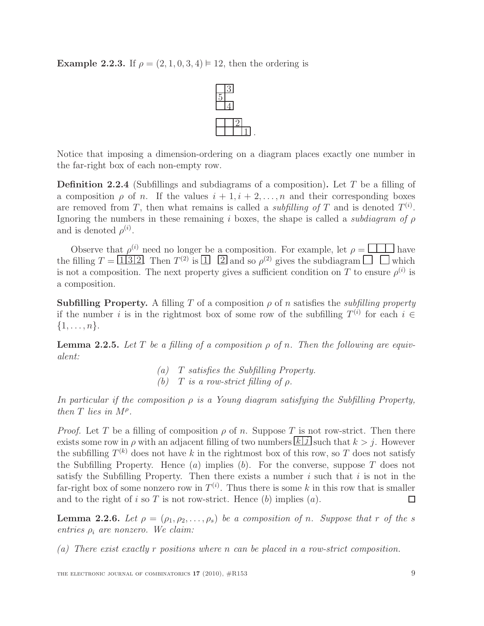Example 2.2.3. If  $\rho = (2, 1, 0, 3, 4) \models 12$ , then the ordering is



Notice that imposing a dimension-ordering on a diagram places exactly one number in the far-right box of each non-empty row.

.

<span id="page-8-2"></span>**Definition 2.2.4** (Subfillings and subdiagrams of a composition). Let T be a filling of a composition  $\rho$  of n. If the values  $i + 1, i + 2, \ldots, n$  and their corresponding boxes are removed from T, then what remains is called a *subfilling of* T and is denoted  $T^{(i)}$ . Ignoring the numbers in these remaining i boxes, the shape is called a *subdiagram of*  $\rho$ and is denoted  $\rho^{(i)}$ .

Observe that  $\rho^{(i)}$  need no longer be a composition. For example, let  $\rho = \Box \Box$  have the filling  $T = \lfloor \frac{1}{3} \rfloor 2$ . Then  $T^{(2)}$  is  $\lfloor \frac{1}{2} \rfloor$  and so  $\rho^{(2)}$  gives the subdiagram  $\lfloor \frac{1}{2} \rfloor$  which is not a composition. The next property gives a sufficient condition on T to ensure  $\rho^{(i)}$  is a composition.

**Subfilling Property.** A filling T of a composition  $\rho$  of n satisfies the *subfilling property* if the number i is in the rightmost box of some row of the subfilling  $T^{(i)}$  for each  $i \in$  $\{1,\ldots,n\}.$ 

<span id="page-8-1"></span>**Lemma 2.2.5.** Let T be a filling of a composition  $\rho$  of n. Then the following are equivalent:

> (a) T satisfies the Subfilling Property. (b) T is a row-strict filling of  $\rho$ .

In particular if the composition  $\rho$  is a Young diagram satisfying the Subfilling Property, then  $T$  lies in  $M^{\rho}$ .

*Proof.* Let T be a filling of composition  $\rho$  of n. Suppose T is not row-strict. Then there exists some row in  $\rho$  with an adjacent filling of two numbers  $\lfloor k \rfloor j$  such that  $k > j$ . However the subfilling  $T^{(k)}$  does not have k in the rightmost box of this row, so T does not satisfy the Subfilling Property. Hence  $(a)$  implies  $(b)$ . For the converse, suppose T does not satisfy the Subfilling Property. Then there exists a number  $i$  such that  $i$  is not in the far-right box of some nonzero row in  $T^{(i)}$ . Thus there is some k in this row that is smaller and to the right of i so T is not row-strict. Hence  $(b)$  implies  $(a)$ .  $\Box$ 

<span id="page-8-0"></span>**Lemma 2.2.6.** Let  $\rho = (\rho_1, \rho_2, \ldots, \rho_s)$  be a composition of n. Suppose that r of the s entries  $\rho_i$  are nonzero. We claim:

(a) There exist exactly r positions where n can be placed in a row-strict composition.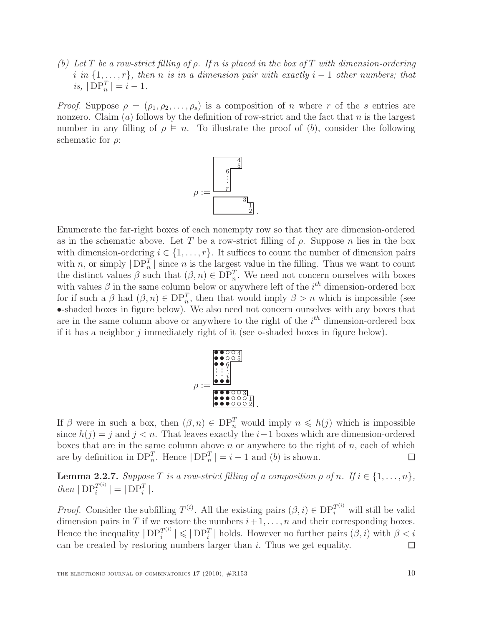(b) Let T be a row-strict filling of  $\rho$ . If n is placed in the box of T with dimension-ordering i in  $\{1,\ldots,r\}$ , then n is in a dimension pair with exactly i – 1 other numbers; that is,  $|DP_n^T| = i - 1$ .

*Proof.* Suppose  $\rho = (\rho_1, \rho_2, \ldots, \rho_s)$  is a composition of *n* where *r* of the *s* entries are nonzero. Claim  $(a)$  follows by the definition of row-strict and the fact that n is the largest number in any filling of  $\rho \models n$ . To illustrate the proof of (b), consider the following schematic for  $\rho$ :



Enumerate the far-right boxes of each nonempty row so that they are dimension-ordered as in the schematic above. Let T be a row-strict filling of  $\rho$ . Suppose n lies in the box with dimension-ordering  $i \in \{1, \ldots, r\}$ . It suffices to count the number of dimension pairs with n, or simply  $|DP_n^T|$  since n is the largest value in the filling. Thus we want to count the distinct values  $\beta$  such that  $(\beta, n) \in \text{DP}_n^T$ . We need not concern ourselves with boxes with values  $\beta$  in the same column below or anywhere left of the  $i^{th}$  dimension-ordered box for if such a  $\beta$  had  $(\beta, n) \in \text{DP}_n^T$ , then that would imply  $\beta > n$  which is impossible (see •-shaded boxes in figure below). We also need not concern ourselves with any boxes that are in the same column above or anywhere to the right of the  $i<sup>th</sup>$  dimension-ordered box if it has a neighbor  $j$  immediately right of it (see  $\circ$ -shaded boxes in figure below).



If  $\beta$  were in such a box, then  $(\beta, n) \in \text{DP}_n^T$  would imply  $n \leq h(j)$  which is impossible since  $h(j) = j$  and  $j < n$ . That leaves exactly the  $i-1$  boxes which are dimension-ordered boxes that are in the same column above  $n$  or anywhere to the right of  $n$ , each of which are by definition in  $DP_n^T$ . Hence  $|DP_n^T| = i - 1$  and  $(b)$  is shown. □

<span id="page-9-0"></span>**Lemma 2.2.7.** Suppose T is a row-strict filling of a composition  $\rho$  of n. If  $i \in \{1, ..., n\}$ , then  $|DP_i^{T^{(i)}}|$  $\left| \frac{T^{(i)}}{i} \right| = |\text{DP}_i^T|.$ 

<span id="page-9-1"></span>*Proof.* Consider the subfilling  $T^{(i)}$ . All the existing pairs  $(\beta, i) \in \text{DP}_i^{T^{(i)}}$  will still be valid dimension pairs in T if we restore the numbers  $i+1, \ldots, n$  and their corresponding boxes. Hence the inequality  $|DP_i^{T^{(i)}}|$  $\left| \mathcal{F}_{i}^{(i)} \right| \leqslant |\mathrm{DP}_{i}^{T}|$  holds. However no further pairs  $(\beta, i)$  with  $\beta < i$ can be created by restoring numbers larger than  $i$ . Thus we get equality. П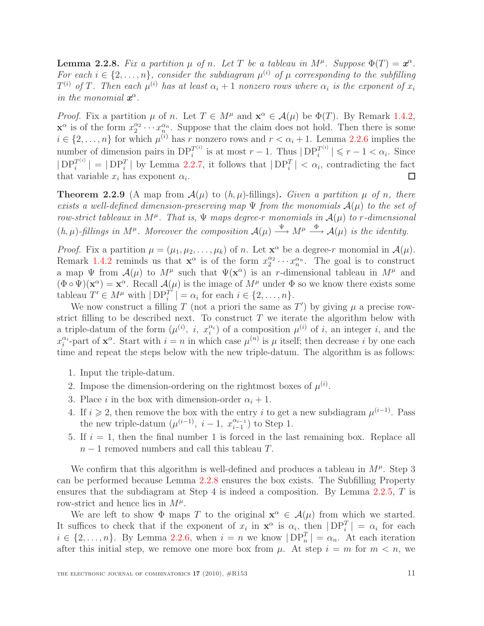**Lemma 2.2.8.** Fix a partition  $\mu$  of n. Let T be a tableau in  $M^{\mu}$ . Suppose  $\Phi(T) = \boldsymbol{x}^{\alpha}$ . For each  $i \in \{2, \ldots, n\}$ , consider the subdiagram  $\mu^{(i)}$  of  $\mu$  corresponding to the subfilling  $T^{(i)}$  of T. Then each  $\mu^{(i)}$  has at least  $\alpha_i + 1$  nonzero rows where  $\alpha_i$  is the exponent of  $x_i$ in the monomial  $x^{\alpha}$ .

*Proof.* Fix a partition  $\mu$  of n. Let  $T \in M^{\mu}$  and  $\mathbf{x}^{\alpha} \in \mathcal{A}(\mu)$  be  $\Phi(T)$ . By Remark [1.4.2,](#page-6-3)  $\mathbf{x}^{\alpha}$  is of the form  $x_2^{\alpha_2} \cdots x_n^{\alpha_n}$ . Suppose that the claim does not hold. Then there is some  $i \in \{2, \ldots, n\}$  for which  $\mu^{(i)}$  has r nonzero rows and  $r < \alpha_i + 1$ . Lemma [2.2.6](#page-8-0) implies the number of dimension pairs in  $DP_i^{T^{(i)}}$  $i^{T^{(i)}}$  is at most  $r-1$ . Thus  $|DP_i^{T^{(i)}}|$  $\left| \mathcal{F}^{(i)} \right| \leqslant r - 1 < \alpha_i$ . Since  $|DP_i^{T^{(i)}}$  $\left| \begin{array}{c} T^{(i)} \end{array} \right| = \left| \text{DP}_i^T \right|$  by Lemma [2.2.7,](#page-9-0) it follows that  $\left| \text{DP}_i^T \right| < \alpha_i$ , contradicting the fact that variable  $x_i$  has exponent  $\alpha_i$ . П

<span id="page-10-0"></span>**Theorem 2.2.9** (A map from  $\mathcal{A}(\mu)$  to  $(h, \mu)$ -fillings). Given a partition  $\mu$  of n, there exists a well-defined dimension-preserving map  $\Psi$  from the monomials  $A(\mu)$  to the set of row-strict tableaux in  $M^{\mu}$ . That is,  $\Psi$  maps degree-r monomials in  $\mathcal{A}(\mu)$  to r-dimensional  $(h, \mu)$ -fillings in  $M^{\mu}$ . Moreover the composition  $\mathcal{A}(\mu) \stackrel{\Psi}{\longrightarrow} M^{\mu} \stackrel{\Phi}{\longrightarrow} \mathcal{A}(\mu)$  is the identity.

*Proof.* Fix a partition  $\mu = (\mu_1, \mu_2, \dots, \mu_k)$  of n. Let  $\mathbf{x}^{\alpha}$  be a degree-r monomial in  $\mathcal{A}(\mu)$ . Remark [1.4.2](#page-6-3) reminds us that  $\mathbf{x}^{\alpha}$  is of the form  $x_2^{\alpha_2} \cdots x_n^{\alpha_n}$ . The goal is to construct a map  $\Psi$  from  $\mathcal{A}(\mu)$  to  $M^{\mu}$  such that  $\Psi(\mathbf{x}^{\alpha})$  is an r-dimensional tableau in  $M^{\mu}$  and  $(\Phi \circ \Psi)(\mathbf{x}^{\alpha}) = \mathbf{x}^{\alpha}$ . Recall  $\mathcal{A}(\mu)$  is the image of  $M^{\mu}$  under  $\Phi$  so we know there exists some tableau  $T' \in M^{\mu}$  with  $|DP_i^{T'}$  $\begin{aligned} \mathcal{I}^T_i \mid &= \alpha_i \text{ for each } i \in \{2, \ldots, n\}. \end{aligned}$ 

We now construct a filling T (not a priori the same as  $T'$ ) by giving  $\mu$  a precise rowstrict filling to be described next. To construct  $T$  we iterate the algorithm below with a triple-datum of the form  $(\mu^{(i)}, i, x_i^{\alpha_i})$  of a composition  $\mu^{(i)}$  of i, an integer i, and the  $x_i^{\alpha_i}$ -part of  $\mathbf{x}^{\alpha}$ . Start with  $i = n$  in which case  $\mu^{(n)}$  is  $\mu$  itself; then decrease i by one each time and repeat the steps below with the new triple-datum. The algorithm is as follows:

- 1. Input the triple-datum.
- 2. Impose the dimension-ordering on the rightmost boxes of  $\mu^{(i)}$ .
- 3. Place i in the box with dimension-order  $\alpha_i + 1$ .
- 4. If  $i \geq 2$ , then remove the box with the entry i to get a new subdiagram  $\mu^{(i-1)}$ . Pass the new triple-datum  $(\mu^{(i-1)}, i-1, x_{i-1}^{\alpha_{i-1}})$  $\binom{\alpha_{i-1}}{i-1}$  to Step 1.
- 5. If  $i = 1$ , then the final number 1 is forced in the last remaining box. Replace all  $n-1$  removed numbers and call this tableau T.

We confirm that this algorithm is well-defined and produces a tableau in  $M^{\mu}$ . Step 3 can be performed because Lemma [2.2.8](#page-9-1) ensures the box exists. The Subfilling Property ensures that the subdiagram at Step 4 is indeed a composition. By Lemma [2.2.5,](#page-8-1) T is row-strict and hence lies in  $M^{\mu}$ .

We are left to show  $\Phi$  maps T to the original  $\mathbf{x}^{\alpha} \in \mathcal{A}(\mu)$  from which we started. It suffices to check that if the exponent of  $x_i$  in  $\mathbf{x}^\alpha$  is  $\alpha_i$ , then  $|DP_i^T| = \alpha_i$  for each  $i \in \{2,\ldots,n\}$ . By Lemma [2.2.6,](#page-8-0) when  $i = n$  we know  $|DP_n^T| = \alpha_n$ . At each iteration after this initial step, we remove one more box from  $\mu$ . At step  $i = m$  for  $m < n$ , we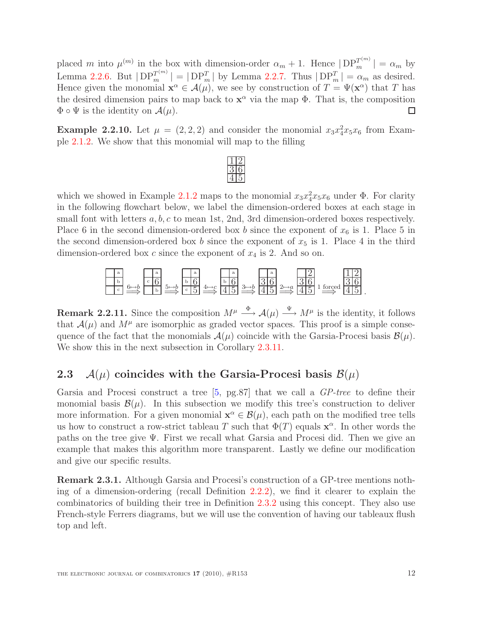placed m into  $\mu^{(m)}$  in the box with dimension-order  $\alpha_m + 1$ . Hence  $|DP_m^{T^{(m)}}| = \alpha_m$  by Lemma [2.2.6.](#page-8-0) But  $|DP_m^{T^{(m)}}| = |DP_m^T|$  by Lemma [2.2.7.](#page-9-0) Thus  $|DP_m^T| = \alpha_m$  as desired. Hence given the monomial  $\mathbf{x}^{\alpha} \in \mathcal{A}(\mu)$ , we see by construction of  $T = \Psi(\mathbf{x}^{\alpha})$  that T has the desired dimension pairs to map back to  $x^{\alpha}$  via the map  $\Phi$ . That is, the composition  $\Phi \circ \Psi$  is the identity on  $\mathcal{A}(\mu)$ . □

<span id="page-11-1"></span>**Example 2.2.10.** Let  $\mu = (2, 2, 2)$  and consider the monomial  $x_3x_4^2x_5x_6$  from Example [2.1.2.](#page-7-2) We show that this monomial will map to the filling

which we showed in Example [2.1.2](#page-7-2) maps to the monomial  $x_3x_4^2x_5x_6$  under  $\Phi$ . For clarity in the following flowchart below, we label the dimension-ordered boxes at each stage in small font with letters a, b, c to mean 1st, 2nd, 3rd dimension-ordered boxes respectively. Place 6 in the second dimension-ordered box b since the exponent of  $x_6$  is 1. Place 5 in the second dimension-ordered box b since the exponent of  $x_5$  is 1. Place 4 in the third dimension-ordered box c since the exponent of  $x_4$  is 2. And so on.



**Remark 2.2.11.** Since the composition  $M^{\mu} \stackrel{\Phi}{\longrightarrow} \mathcal{A}(\mu) \stackrel{\Psi}{\longrightarrow} M^{\mu}$  is the identity, it follows that  $\mathcal{A}(\mu)$  and  $M^{\mu}$  are isomorphic as graded vector spaces. This proof is a simple consequence of the fact that the monomials  $\mathcal{A}(\mu)$  coincide with the Garsia-Procesi basis  $\mathcal{B}(\mu)$ . We show this in the next subsection in Corollary [2.3.11.](#page-15-1)

## <span id="page-11-0"></span>2.3  $\mathcal{A}(\mu)$  coincides with the Garsia-Procesi basis  $\mathcal{B}(\mu)$

Garsia and Procesi construct a tree [\[5,](#page-27-2) pg.87] that we call a GP-tree to define their monomial basis  $\mathcal{B}(\mu)$ . In this subsection we modify this tree's construction to deliver more information. For a given monomial  $\mathbf{x}^{\alpha} \in \mathcal{B}(\mu)$ , each path on the modified tree tells us how to construct a row-strict tableau T such that  $\Phi(T)$  equals  $\mathbf{x}^{\alpha}$ . In other words the paths on the tree give  $\Psi$ . First we recall what Garsia and Procesi did. Then we give an example that makes this algorithm more transparent. Lastly we define our modification and give our specific results.

<span id="page-11-2"></span>Remark 2.3.1. Although Garsia and Procesi's construction of a GP-tree mentions nothing of a dimension-ordering (recall Definition [2.2.2\)](#page-7-3), we find it clearer to explain the combinatorics of building their tree in Definition [2.3.2](#page-11-2) using this concept. They also use French-style Ferrers diagrams, but we will use the convention of having our tableaux flush top and left.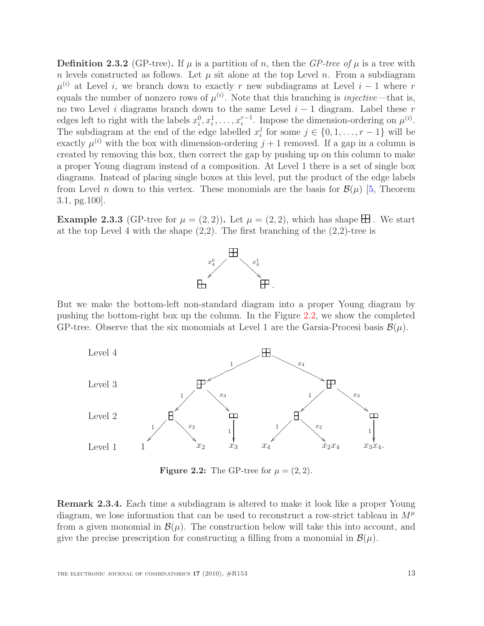**Definition 2.3.2** (GP-tree). If  $\mu$  is a partition of n, then the GP-tree of  $\mu$  is a tree with n levels constructed as follows. Let  $\mu$  sit alone at the top Level n. From a subdiagram  $\mu^{(i)}$  at Level i, we branch down to exactly r new subdiagrams at Level i – 1 where r equals the number of nonzero rows of  $\mu^{(i)}$ . Note that this branching is *injective*—that is, no two Level i diagrams branch down to the same Level  $i - 1$  diagram. Label these r edges left to right with the labels  $x_i^0, x_i^1, \ldots, x_i^{r-1}$ . Impose the dimension-ordering on  $\mu^{(i)}$ . The subdiagram at the end of the edge labelled  $x_i^j$  $j_i$  for some  $j \in \{0, 1, \ldots, r-1\}$  will be exactly  $\mu^{(i)}$  with the box with dimension-ordering  $j+1$  removed. If a gap in a column is created by removing this box, then correct the gap by pushing up on this column to make a proper Young diagram instead of a composition. At Level 1 there is a set of single box diagrams. Instead of placing single boxes at this level, put the product of the edge labels from Level n down to this vertex. These monomials are the basis for  $\mathcal{B}(\mu)$  [\[5,](#page-27-2) Theorem 3.1, pg.100].

**Example 2.3.3** (GP-tree for  $\mu = (2, 2)$ ). Let  $\mu = (2, 2)$ , which has shape  $\pm 1$ . We start at the top Level 4 with the shape  $(2,2)$ . The first branching of the  $(2,2)$ -tree is



But we make the bottom-left non-standard diagram into a proper Young diagram by pushing the bottom-right box up the column. In the Figure [2.2,](#page-12-1) we show the completed GP-tree. Observe that the six monomials at Level 1 are the Garsia-Procesi basis  $\mathcal{B}(\mu)$ .



<span id="page-12-1"></span>**Figure 2.2:** The GP-tree for  $\mu = (2, 2)$ .

<span id="page-12-0"></span>Remark 2.3.4. Each time a subdiagram is altered to make it look like a proper Young diagram, we lose information that can be used to reconstruct a row-strict tableau in  $M^{\mu}$ from a given monomial in  $\mathcal{B}(\mu)$ . The construction below will take this into account, and give the precise prescription for constructing a filling from a monomial in  $\mathcal{B}(\mu)$ .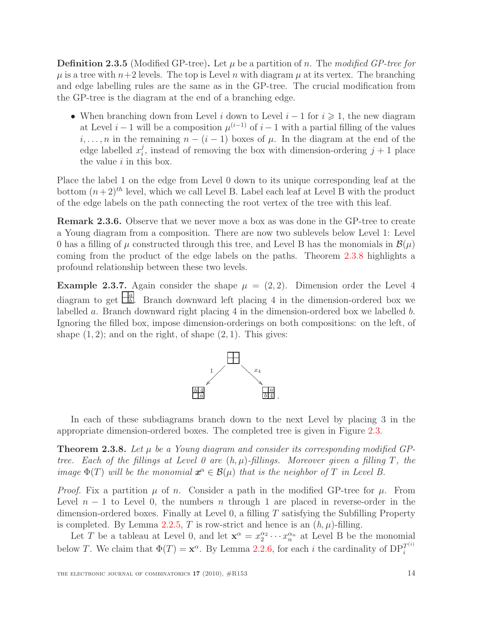**Definition 2.3.5** (Modified GP-tree). Let  $\mu$  be a partition of n. The modified GP-tree for  $\mu$  is a tree with  $n+2$  levels. The top is Level n with diagram  $\mu$  at its vertex. The branching and edge labelling rules are the same as in the GP-tree. The crucial modification from the GP-tree is the diagram at the end of a branching edge.

• When branching down from Level i down to Level  $i-1$  for  $i \geq 1$ , the new diagram at Level  $i-1$  will be a composition  $\mu^{(i-1)}$  of  $i-1$  with a partial filling of the values  $i, \ldots, n$  in the remaining  $n - (i - 1)$  boxes of  $\mu$ . In the diagram at the end of the edge labelled  $x_i^j$  $i<sub>i</sub>$ , instead of removing the box with dimension-ordering  $j+1$  place the value  $i$  in this box.

Place the label 1 on the edge from Level 0 down to its unique corresponding leaf at the bottom  $(n+2)^{th}$  level, which we call Level B. Label each leaf at Level B with the product of the edge labels on the path connecting the root vertex of the tree with this leaf.

Remark 2.3.6. Observe that we never move a box as was done in the GP-tree to create a Young diagram from a composition. There are now two sublevels below Level 1: Level 0 has a filling of  $\mu$  constructed through this tree, and Level B has the monomials in  $\mathcal{B}(\mu)$ coming from the product of the edge labels on the paths. Theorem [2.3.8](#page-13-0) highlights a profound relationship between these two levels.

Example 2.3.7. Again consider the shape  $\mu = (2, 2)$ . Dimension order the Level 4 diagram to get  $\frac{\left|a\right|}{\left|b\right|}$ . Branch downward left placing 4 in the dimension-ordered box we labelled a. Branch downward right placing 4 in the dimension-ordered box we labelled b. Ignoring the filled box, impose dimension-orderings on both compositions: on the left, of shape  $(1, 2)$ ; and on the right, of shape  $(2, 1)$ . This gives:



In each of these subdiagrams branch down to the next Level by placing 3 in the appropriate dimension-ordered boxes. The completed tree is given in Figure [2.3.](#page-14-0)

<span id="page-13-0"></span>**Theorem 2.3.8.** Let  $\mu$  be a Young diagram and consider its corresponding modified GPtree. Each of the fillings at Level 0 are  $(h, \mu)$ -fillings. Moreover given a filling T, the image  $\Phi(T)$  will be the monomial  $x^{\alpha} \in \mathcal{B}(\mu)$  that is the neighbor of T in Level B.

*Proof.* Fix a partition  $\mu$  of n. Consider a path in the modified GP-tree for  $\mu$ . From Level  $n-1$  to Level 0, the numbers n through 1 are placed in reverse-order in the dimension-ordered boxes. Finally at Level 0, a filling T satisfying the Subfilling Property is completed. By Lemma [2.2.5,](#page-8-1) T is row-strict and hence is an  $(h, \mu)$ -filling.

Let T be a tableau at Level 0, and let  $\mathbf{x}^{\alpha} = x_2^{\alpha_2} \cdots x_n^{\alpha_n}$  at Level B be the monomial below T. We claim that  $\Phi(T) = \mathbf{x}^{\alpha}$ . By Lemma [2.2.6,](#page-8-0) for each *i* the cardinality of  $DP_i^{T^{(i)}}$ i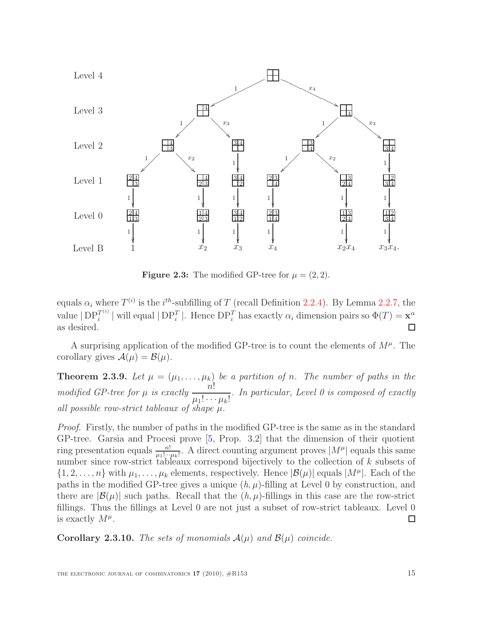

<span id="page-14-0"></span>**Figure 2.3:** The modified GP-tree for  $\mu = (2, 2)$ .

equals  $\alpha_i$  where  $T^{(i)}$  is the i<sup>th</sup>-subfilling of T (recall Definition [2.2.4\)](#page-8-2). By Lemma [2.2.7,](#page-9-0) the value  $|DP_i^{T^{(i)}}|$  $i^{T^{(i)}}$  | will equal  $|DP_i^T|$ . Hence  $DP_i^T$  has exactly  $\alpha_i$  dimension pairs so  $\Phi(T) = \mathbf{x}^{\alpha}$ as desired.

<span id="page-14-1"></span>A surprising application of the modified GP-tree is to count the elements of  $M^{\mu}$ . The corollary gives  $\mathcal{A}(\mu) = \mathcal{B}(\mu)$ .

**Theorem 2.3.9.** Let  $\mu = (\mu_1, \ldots, \mu_k)$  be a partition of n. The number of paths in the modified GP-tree for  $\mu$  is exactly  $\frac{n!}{\cdots}$  $\mu_1! \cdots \mu_k!$ . In particular, Level 0 is composed of exactly all possible row-strict tableaux of shape  $\mu$ .

Proof. Firstly, the number of paths in the modified GP-tree is the same as in the standard GP-tree. Garsia and Procesi prove [\[5,](#page-27-2) Prop. 3.2] that the dimension of their quotient ring presentation equals  $\frac{n!}{\mu_1!\cdots\mu_k!}$ . A direct counting argument proves  $|M^{\mu}|$  equals this same number since row-strict tableaux correspond bijectively to the collection of k subsets of  $\{1, 2, \ldots, n\}$  with  $\mu_1, \ldots, \mu_k$  elements, respectively. Hence  $|\mathcal{B}(\mu)|$  equals  $|M^{\mu}|$ . Each of the paths in the modified GP-tree gives a unique  $(h, \mu)$ -filling at Level 0 by construction, and there are  $|\mathcal{B}(\mu)|$  such paths. Recall that the  $(h, \mu)$ -fillings in this case are the row-strict fillings. Thus the fillings at Level 0 are not just a subset of row-strict tableaux. Level 0 is exactly  $M^{\mu}$ .  $\Box$ 

**Corollary 2.3.10.** The sets of monomials  $A(\mu)$  and  $B(\mu)$  coincide.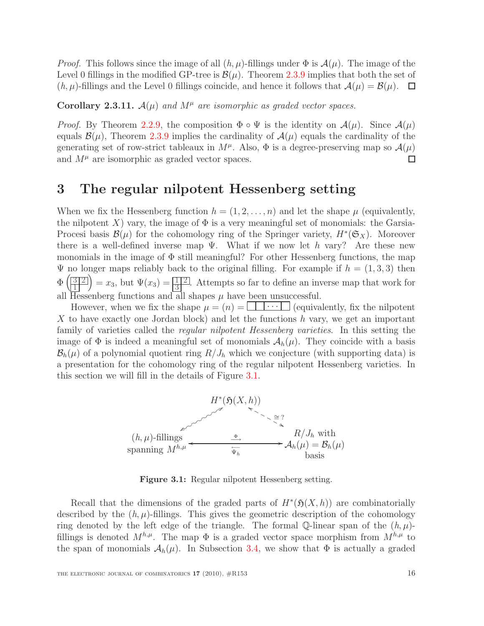*Proof.* This follows since the image of all  $(h, \mu)$ -fillings under  $\Phi$  is  $\mathcal{A}(\mu)$ . The image of the Level 0 fillings in the modified GP-tree is  $\mathcal{B}(\mu)$ . Theorem [2.3.9](#page-14-1) implies that both the set of  $(h, \mu)$ -fillings and the Level 0 fillings coincide, and hence it follows that  $\mathcal{A}(\mu) = \mathcal{B}(\mu)$ .  $\Box$ 

<span id="page-15-1"></span>Corollary 2.3.11.  $A(\mu)$  and  $M^{\mu}$  are isomorphic as graded vector spaces.

*Proof.* By Theorem [2.2.9,](#page-10-0) the composition  $\Phi \circ \Psi$  is the identity on  $\mathcal{A}(\mu)$ . Since  $\mathcal{A}(\mu)$ equals  $\mathcal{B}(\mu)$ , Theorem [2.3.9](#page-14-1) implies the cardinality of  $\mathcal{A}(\mu)$  equals the cardinality of the generating set of row-strict tableaux in  $M^{\mu}$ . Also,  $\Phi$  is a degree-preserving map so  $\mathcal{A}(\mu)$ and  $M^{\mu}$  are isomorphic as graded vector spaces. □

## <span id="page-15-0"></span>3 The regular nilpotent Hessenberg setting

When we fix the Hessenberg function  $h = (1, 2, \ldots, n)$  and let the shape  $\mu$  (equivalently, the nilpotent X) vary, the image of  $\Phi$  is a very meaningful set of monomials: the Garsia-Procesi basis  $\mathcal{B}(\mu)$  for the cohomology ring of the Springer variety,  $H^*(\mathfrak{S}_X)$ . Moreover there is a well-defined inverse map  $\Psi$ . What if we now let h vary? Are these new monomials in the image of  $\Phi$  still meaningful? For other Hessenberg functions, the map  $\Psi$  no longer maps reliably back to the original filling. For example if  $h = (1, 3, 3)$  then  $\Phi\left(\frac{3}{2}\right]$  $\left(\frac{3}{2}\right)^{3}$  =  $x_3$ , but  $\Psi(x_3) = \frac{1}{3}$ . Attempts so far to define an inverse map that work for all Hessenberg functions and all shapes  $\mu$  have been unsuccessful.

However, when we fix the shape  $\mu = (n) = \bigsqcup \cdots \bigsqcup (equivalently, fix the nilpotent)$ X to have exactly one Jordan block) and let the functions  $h$  vary, we get an important family of varieties called the *regular nilpotent Hessenberg varieties*. In this setting the image of  $\Phi$  is indeed a meaningful set of monomials  $\mathcal{A}_h(\mu)$ . They coincide with a basis  $\mathcal{B}_h(\mu)$  of a polynomial quotient ring  $R/J_h$  which we conjecture (with supporting data) is a presentation for the cohomology ring of the regular nilpotent Hessenberg varieties. In this section we will fill in the details of Figure [3.1.](#page-15-2)



<span id="page-15-2"></span>Figure 3.1: Regular nilpotent Hessenberg setting.

Recall that the dimensions of the graded parts of  $H^*(\mathfrak{H}(X,h))$  are combinatorially described by the  $(h, \mu)$ -fillings. This gives the geometric description of the cohomology ring denoted by the left edge of the triangle. The formal Q-linear span of the  $(h, \mu)$ fillings is denoted  $M^{h,\mu}$ . The map  $\Phi$  is a graded vector space morphism from  $M^{h,\mu}$  to the span of monomials  $\mathcal{A}_h(\mu)$ . In Subsection [3.4,](#page-25-0) we show that  $\Phi$  is actually a graded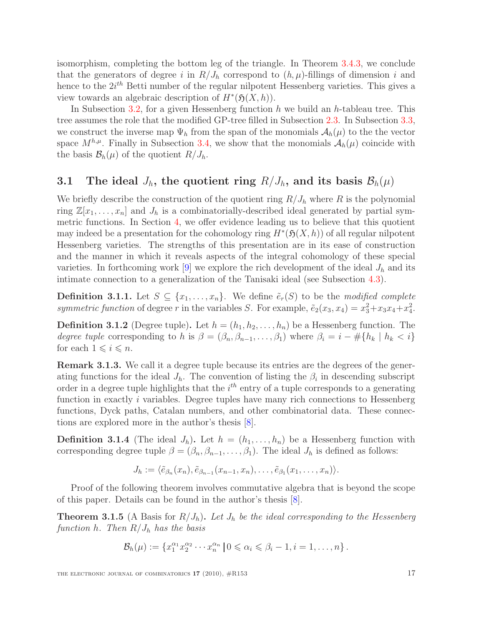isomorphism, completing the bottom leg of the triangle. In Theorem [3.4.3,](#page-25-3) we conclude that the generators of degree i in  $R/J_h$  correspond to  $(h, \mu)$ -fillings of dimension i and hence to the  $2i^{th}$  Betti number of the regular nilpotent Hessenberg varieties. This gives a view towards an algebraic description of  $H^*(\mathfrak{H}(X,h))$ .

In Subsection [3.2,](#page-17-0) for a given Hessenberg function h we build an h-tableau tree. This tree assumes the role that the modified GP-tree filled in Subsection [2.3.](#page-11-0) In Subsection [3.3,](#page-19-0) we construct the inverse map  $\Psi_h$  from the span of the monomials  $A_h(\mu)$  to the the vector space  $M^{h,\mu}$ . Finally in Subsection [3.4,](#page-25-0) we show that the monomials  $\mathcal{A}_h(\mu)$  coincide with the basis  $\mathcal{B}_h(\mu)$  of the quotient  $R/J_h$ .

## <span id="page-16-0"></span>3.1 The ideal  $J_h$ , the quotient ring  $R/J_h$ , and its basis  $\mathcal{B}_h(\mu)$

We briefly describe the construction of the quotient ring  $R/J_h$  where R is the polynomial ring  $\mathbb{Z}[x_1,\ldots,x_n]$  and  $J_h$  is a combinatorially-described ideal generated by partial symmetric functions. In Section [4,](#page-25-1) we offer evidence leading us to believe that this quotient may indeed be a presentation for the cohomology ring  $H^*(\mathfrak{H}(X,h))$  of all regular nilpotent Hessenberg varieties. The strengths of this presentation are in its ease of construction and the manner in which it reveals aspects of the integral cohomology of these special varieties. In forthcoming work [\[9\]](#page-27-8) we explore the rich development of the ideal  $J_h$  and its intimate connection to a generalization of the Tanisaki ideal (see Subsection [4.3\)](#page-26-1).

**Definition 3.1.1.** Let  $S \subseteq \{x_1, \ldots, x_n\}$ . We define  $\tilde{e}_r(S)$  to be the modified complete symmetric function of degree r in the variables S. For example,  $\tilde{e}_2(x_3, x_4) = x_3^2 + x_3x_4 + x_4^2$ .

<span id="page-16-2"></span>**Definition 3.1.2** (Degree tuple). Let  $h = (h_1, h_2, \ldots, h_n)$  be a Hessenberg function. The degree tuple corresponding to h is  $\beta = (\beta_n, \beta_{n-1}, \dots, \beta_1)$  where  $\beta_i = i - \#\{h_k \mid h_k < i\}$ for each  $1 \leq i \leq n$ .

Remark 3.1.3. We call it a degree tuple because its entries are the degrees of the generating functions for the ideal  $J_h$ . The convention of listing the  $\beta_i$  in descending subscript order in a degree tuple highlights that the  $i^{th}$  entry of a tuple corresponds to a generating function in exactly *i* variables. Degree tuples have many rich connections to Hessenberg functions, Dyck paths, Catalan numbers, and other combinatorial data. These connections are explored more in the author's thesis [\[8\]](#page-27-7).

**Definition 3.1.4** (The ideal  $J_h$ ). Let  $h = (h_1, \ldots, h_n)$  be a Hessenberg function with corresponding degree tuple  $\beta = (\beta_n, \beta_{n-1}, \dots, \beta_1)$ . The ideal  $J_h$  is defined as follows:

$$
J_h := \langle \tilde{e}_{\beta_n}(x_n), \tilde{e}_{\beta_{n-1}}(x_{n-1}, x_n), \ldots, \tilde{e}_{\beta_1}(x_1, \ldots, x_n) \rangle.
$$

<span id="page-16-1"></span>Proof of the following theorem involves commutative algebra that is beyond the scope of this paper. Details can be found in the author's thesis [\[8\]](#page-27-7).

**Theorem 3.1.5** (A Basis for  $R/J_h$ ). Let  $J_h$  be the ideal corresponding to the Hessenberg function h. Then  $R/J_h$  has the basis

$$
\mathcal{B}_h(\mu) := \{x_1^{\alpha_1} x_2^{\alpha_2} \cdots x_n^{\alpha_n} \mid 0 \leqslant \alpha_i \leqslant \beta_i - 1, i = 1, \ldots, n\}.
$$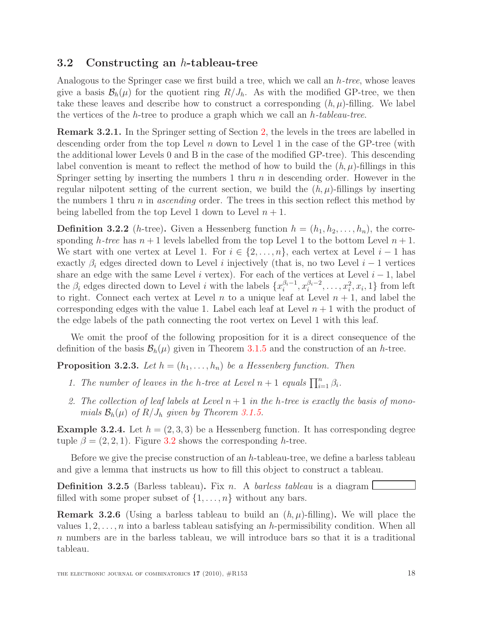### <span id="page-17-0"></span>3.2 Constructing an h-tableau-tree

Analogous to the Springer case we first build a tree, which we call an h-tree, whose leaves give a basis  $\mathcal{B}_h(\mu)$  for the quotient ring  $R/J_h$ . As with the modified GP-tree, we then take these leaves and describe how to construct a corresponding  $(h, \mu)$ -filling. We label the vertices of the h-tree to produce a graph which we call an  $h$ -tableau-tree.

Remark 3.2.1. In the Springer setting of Section [2,](#page-6-0) the levels in the trees are labelled in descending order from the top Level  $n$  down to Level 1 in the case of the GP-tree (with the additional lower Levels 0 and B in the case of the modified GP-tree). This descending label convention is meant to reflect the method of how to build the  $(h, \mu)$ -fillings in this Springer setting by inserting the numbers 1 thru  $n$  in descending order. However in the regular nilpotent setting of the current section, we build the  $(h, \mu)$ -fillings by inserting the numbers 1 thru n in ascending order. The trees in this section reflect this method by being labelled from the top Level 1 down to Level  $n + 1$ .

**Definition 3.2.2** (h-tree). Given a Hessenberg function  $h = (h_1, h_2, \ldots, h_n)$ , the corresponding h-tree has  $n + 1$  levels labelled from the top Level 1 to the bottom Level  $n + 1$ . We start with one vertex at Level 1. For  $i \in \{2, \ldots, n\}$ , each vertex at Level  $i-1$  has exactly  $\beta_i$  edges directed down to Level i injectively (that is, no two Level i – 1 vertices share an edge with the same Level i vertex). For each of the vertices at Level  $i - 1$ , label the  $\beta_i$  edges directed down to Level *i* with the labels  $\{x_i^{\beta_i-1}, x_i^{\beta_i-2}, \ldots, x_i^2, x_i, 1\}$  from left to right. Connect each vertex at Level n to a unique leaf at Level  $n + 1$ , and label the corresponding edges with the value 1. Label each leaf at Level  $n + 1$  with the product of the edge labels of the path connecting the root vertex on Level 1 with this leaf.

<span id="page-17-1"></span>We omit the proof of the following proposition for it is a direct consequence of the definition of the basis  $\mathcal{B}_h(\mu)$  given in Theorem [3.1.5](#page-16-1) and the construction of an h-tree.

**Proposition 3.2.3.** Let  $h = (h_1, \ldots, h_n)$  be a Hessenberg function. Then

- 1. The number of leaves in the h-tree at Level  $n+1$  equals  $\prod_{i=1}^{n} \beta_i$ .
- 2. The collection of leaf labels at Level  $n+1$  in the h-tree is exactly the basis of monomials  $\mathcal{B}_h(\mu)$  of  $R/J_h$  given by Theorem [3.1.5.](#page-16-1)

**Example 3.2.4.** Let  $h = (2, 3, 3)$  be a Hessenberg function. It has corresponding degree tuple  $\beta = (2, 2, 1)$ . Figure [3.2](#page-18-1) shows the corresponding h-tree.

Before we give the precise construction of an h-tableau-tree, we define a barless tableau and give a lemma that instructs us how to fill this object to construct a tableau.

**Definition 3.2.5** (Barless tableau). Fix n. A barless tableau is a diagram filled with some proper subset of  $\{1, \ldots, n\}$  without any bars.

**Remark 3.2.6** (Using a barless tableau to build an  $(h, \mu)$ -filling). We will place the values  $1, 2, \ldots, n$  into a barless tableau satisfying an h-permissibility condition. When all n numbers are in the barless tableau, we will introduce bars so that it is a traditional tableau.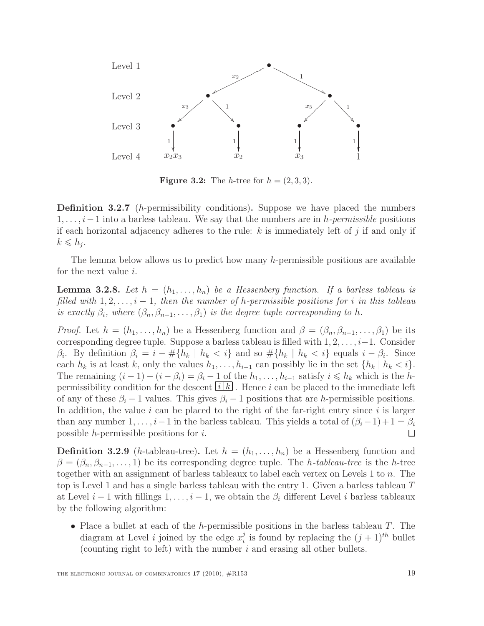

<span id="page-18-1"></span>**Figure 3.2:** The *h*-tree for  $h = (2, 3, 3)$ .

**Definition 3.2.7** (*h*-permissibility conditions). Suppose we have placed the numbers  $1, \ldots, i-1$  into a barless tableau. We say that the numbers are in h-permissible positions if each horizontal adjacency adheres to the rule:  $k$  is immediately left of  $j$  if and only if  $k \leqslant h_j$ .

<span id="page-18-2"></span>The lemma below allows us to predict how many h-permissible positions are available for the next value i.

**Lemma 3.2.8.** Let  $h = (h_1, \ldots, h_n)$  be a Hessenberg function. If a barless tableau is filled with  $1, 2, \ldots, i-1$ , then the number of h-permissible positions for i in this tableau is exactly  $\beta_i$ , where  $(\beta_n, \beta_{n-1}, \ldots, \beta_1)$  is the degree tuple corresponding to h.

*Proof.* Let  $h = (h_1, \ldots, h_n)$  be a Hessenberg function and  $\beta = (\beta_n, \beta_{n-1}, \ldots, \beta_1)$  be its corresponding degree tuple. Suppose a barless tableau is filled with  $1, 2, \ldots, i-1$ . Consider  $\beta_i$ . By definition  $\beta_i = i - \# \{ h_k \mid h_k < i \}$  and so  $\# \{ h_k \mid h_k < i \}$  equals  $i - \beta_i$ . Since each  $h_k$  is at least k, only the values  $h_1, \ldots, h_{i-1}$  can possibly lie in the set  $\{h_k \mid h_k < i\}.$ The remaining  $(i - 1) - (i - \beta_i) = \beta_i - 1$  of the  $h_1, \ldots, h_{i-1}$  satisfy  $i \leq h_k$  which is the hpermissibility condition for the descent  $[i]k$ . Hence i can be placed to the immediate left of any of these  $\beta_i - 1$  values. This gives  $\beta_i - 1$  positions that are h-permissible positions. In addition, the value  $i$  can be placed to the right of the far-right entry since  $i$  is larger than any number 1, ...,  $i-1$  in the barless tableau. This yields a total of  $(\beta_i-1)+1=\beta_i$ possible h-permissible positions for i.  $\Box$ 

<span id="page-18-0"></span>**Definition 3.2.9** (h-tableau-tree). Let  $h = (h_1, \ldots, h_n)$  be a Hessenberg function and  $\beta = (\beta_n, \beta_{n-1}, \ldots, 1)$  be its corresponding degree tuple. The *h*-tableau-tree is the *h*-tree together with an assignment of barless tableaux to label each vertex on Levels 1 to n. The top is Level 1 and has a single barless tableau with the entry 1. Given a barless tableau  $T$ at Level  $i-1$  with fillings  $1, \ldots, i-1$ , we obtain the  $\beta_i$  different Level i barless tableaux by the following algorithm:

• Place a bullet at each of the h-permissible positions in the barless tableau  $T$ . The diagram at Level *i* joined by the edge  $x_i^j$  $i$  is found by replacing the  $(j + 1)^{th}$  bullet (counting right to left) with the number  $i$  and erasing all other bullets.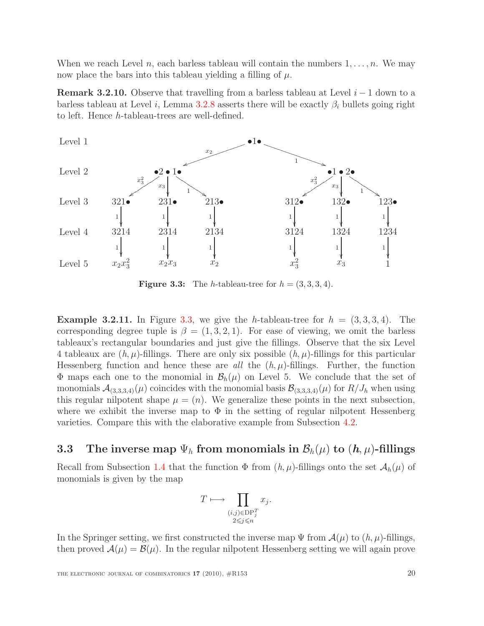When we reach Level n, each barless tableau will contain the numbers  $1, \ldots, n$ . We may now place the bars into this tableau yielding a filling of  $\mu$ .

**Remark 3.2.10.** Observe that travelling from a barless tableau at Level  $i - 1$  down to a barless tableau at Level i, Lemma [3.2.8](#page-18-2) asserts there will be exactly  $\beta_i$  bullets going right to left. Hence h-tableau-trees are well-defined.



<span id="page-19-1"></span>**Figure 3.3:** The *h*-tableau-tree for  $h = (3, 3, 3, 4)$ .

<span id="page-19-2"></span>**Example 3.2.11.** In Figure [3.3,](#page-19-1) we give the h-tableau-tree for  $h = (3, 3, 3, 4)$ . The corresponding degree tuple is  $\beta = (1, 3, 2, 1)$ . For ease of viewing, we omit the barless tableaux's rectangular boundaries and just give the fillings. Observe that the six Level 4 tableaux are  $(h, \mu)$ -fillings. There are only six possible  $(h, \mu)$ -fillings for this particular Hessenberg function and hence these are all the  $(h, \mu)$ -fillings. Further, the function  $\Phi$  maps each one to the monomial in  $\mathcal{B}_h(\mu)$  on Level 5. We conclude that the set of monomials  $\mathcal{A}_{(3,3,3,4)}(\mu)$  coincides with the monomial basis  $\mathcal{B}_{(3,3,3,4)}(\mu)$  for  $R/J_h$  when using this regular nilpotent shape  $\mu = (n)$ . We generalize these points in the next subsection, where we exhibit the inverse map to  $\Phi$  in the setting of regular nilpotent Hessenberg varieties. Compare this with the elaborative example from Subsection [4.2.](#page-26-0)

### <span id="page-19-0"></span>3.3 The inverse map  $\Psi_h$  from monomials in  $\mathcal{B}_h(\mu)$  to  $(h, \mu)$ -fillings

Recall from Subsection [1.4](#page-5-0) that the function  $\Phi$  from  $(h, \mu)$ -fillings onto the set  $\mathcal{A}_h(\mu)$  of monomials is given by the map

$$
T \longmapsto \prod_{\substack{(i,j)\in \text{DP}_j^T \\ 2 \leq j \leq n}} x_j.
$$

In the Springer setting, we first constructed the inverse map  $\Psi$  from  $\mathcal{A}(\mu)$  to  $(h, \mu)$ -fillings, then proved  $\mathcal{A}(\mu) = \mathcal{B}(\mu)$ . In the regular nilpotent Hessenberg setting we will again prove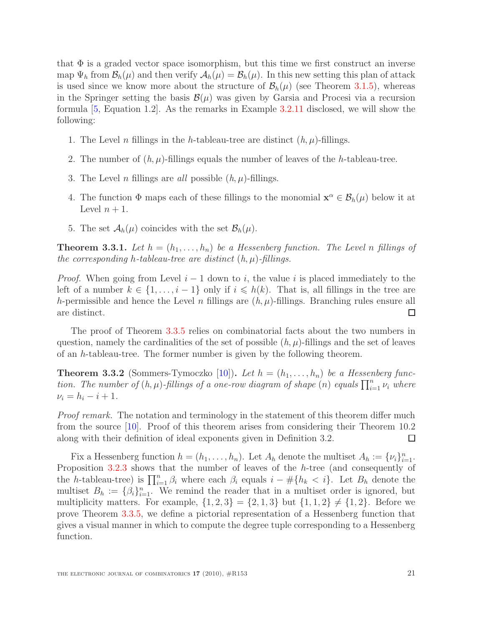that  $\Phi$  is a graded vector space isomorphism, but this time we first construct an inverse map  $\Psi_h$  from  $\mathcal{B}_h(\mu)$  and then verify  $\mathcal{A}_h(\mu) = \mathcal{B}_h(\mu)$ . In this new setting this plan of attack is used since we know more about the structure of  $\mathcal{B}_h(\mu)$  (see Theorem [3.1.5\)](#page-16-1), whereas in the Springer setting the basis  $\mathcal{B}(\mu)$  was given by Garsia and Procesi via a recursion formula [\[5,](#page-27-2) Equation 1.2]. As the remarks in Example [3.2.11](#page-19-2) disclosed, we will show the following:

- 1. The Level *n* fillings in the *h*-tableau-tree are distinct  $(h, \mu)$ -fillings.
- 2. The number of  $(h, \mu)$ -fillings equals the number of leaves of the h-tableau-tree.
- 3. The Level *n* fillings are *all* possible  $(h, \mu)$ -fillings.
- 4. The function  $\Phi$  maps each of these fillings to the monomial  $\mathbf{x}^{\alpha} \in \mathcal{B}_h(\mu)$  below it at Level  $n + 1$ .
- 5. The set  $\mathcal{A}_h(\mu)$  coincides with the set  $\mathcal{B}_h(\mu)$ .

<span id="page-20-0"></span>**Theorem 3.3.1.** Let  $h = (h_1, \ldots, h_n)$  be a Hessenberg function. The Level n fillings of the corresponding h-tableau-tree are distinct  $(h, \mu)$ -fillings.

*Proof.* When going from Level  $i - 1$  down to i, the value i is placed immediately to the left of a number  $k \in \{1, \ldots, i-1\}$  only if  $i \leq h(k)$ . That is, all fillings in the tree are h-permissible and hence the Level n fillings are  $(h, \mu)$ -fillings. Branching rules ensure all are distinct.  $\Box$ 

The proof of Theorem [3.3.5](#page-21-0) relies on combinatorial facts about the two numbers in question, namely the cardinalities of the set of possible  $(h, \mu)$ -fillings and the set of leaves of an h-tableau-tree. The former number is given by the following theorem.

<span id="page-20-1"></span>**Theorem 3.3.2** (Sommers-Tymoczko [\[10\]](#page-27-10)). Let  $h = (h_1, \ldots, h_n)$  be a Hessenberg function. The number of  $(h, \mu)$ -fillings of a one-row diagram of shape  $(n)$  equals  $\prod_{i=1}^{n} \nu_i$  where  $\nu_i = h_i - i + 1.$ 

Proof remark. The notation and terminology in the statement of this theorem differ much from the source [\[10\]](#page-27-10). Proof of this theorem arises from considering their Theorem 10.2 along with their definition of ideal exponents given in Definition 3.2.  $\Box$ 

Fix a Hessenberg function  $h = (h_1, \ldots, h_n)$ . Let  $A_h$  denote the multiset  $A_h := \{v_i\}_{i=1}^n$ . Proposition [3.2.3](#page-17-1) shows that the number of leaves of the h-tree (and consequently of the h-tableau-tree) is  $\prod_{i=1}^n \beta_i$  where each  $\beta_i$  equals  $i - \# \{h_k < i\}$ . Let  $B_h$  denote the multiset  $B_h := \{ \beta_i \}_{i=1}^n$ . We remind the reader that in a multiset order is ignored, but multiplicity matters. For example,  $\{1, 2, 3\} = \{2, 1, 3\}$  but  $\{1, 1, 2\} \neq \{1, 2\}$ . Before we prove Theorem [3.3.5,](#page-21-0) we define a pictorial representation of a Hessenberg function that gives a visual manner in which to compute the degree tuple corresponding to a Hessenberg function.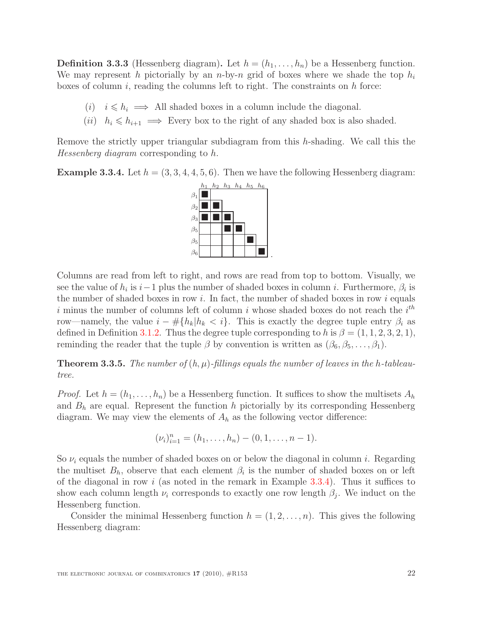**Definition 3.3.3** (Hessenberg diagram). Let  $h = (h_1, \ldots, h_n)$  be a Hessenberg function. We may represent h pictorially by an n-by-n grid of boxes where we shade the top  $h_i$ boxes of column  $i$ , reading the columns left to right. The constraints on  $h$  force:

- (i)  $i \leq h_i \implies$  All shaded boxes in a column include the diagonal.
- (ii)  $h_i \leq h_{i+1} \implies$  Every box to the right of any shaded box is also shaded.

Remove the strictly upper triangular subdiagram from this h-shading. We call this the Hessenberg diagram corresponding to h.

<span id="page-21-1"></span>**Example 3.3.4.** Let  $h = (3, 3, 4, 4, 5, 6)$ . Then we have the following Hessenberg diagram:



Columns are read from left to right, and rows are read from top to bottom. Visually, we see the value of  $h_i$  is  $i-1$  plus the number of shaded boxes in column i. Furthermore,  $\beta_i$  is the number of shaded boxes in row  $i$ . In fact, the number of shaded boxes in row  $i$  equals i minus the number of columns left of column i whose shaded boxes do not reach the  $i<sup>th</sup>$ row—namely, the value  $i - \# \{h_k | h_k < i\}$ . This is exactly the degree tuple entry  $\beta_i$  as defined in Definition [3.1.2.](#page-16-2) Thus the degree tuple corresponding to h is  $\beta = (1, 1, 2, 3, 2, 1)$ , reminding the reader that the tuple  $\beta$  by convention is written as  $(\beta_6, \beta_5, \ldots, \beta_1)$ .

<span id="page-21-0"></span>**Theorem 3.3.5.** The number of  $(h, \mu)$ -fillings equals the number of leaves in the h-tableautree.

*Proof.* Let  $h = (h_1, \ldots, h_n)$  be a Hessenberg function. It suffices to show the multisets  $A_h$ and  $B_h$  are equal. Represent the function h pictorially by its corresponding Hessenberg diagram. We may view the elements of  $A_h$  as the following vector difference:

$$
(\nu_i)_{i=1}^n = (h_1, \ldots, h_n) - (0, 1, \ldots, n-1).
$$

So  $\nu_i$  equals the number of shaded boxes on or below the diagonal in column i. Regarding the multiset  $B_h$ , observe that each element  $\beta_i$  is the number of shaded boxes on or left of the diagonal in row i (as noted in the remark in Example  $3.3.4$ ). Thus it suffices to show each column length  $\nu_i$  corresponds to exactly one row length  $\beta_j$ . We induct on the Hessenberg function.

Consider the minimal Hessenberg function  $h = (1, 2, \ldots, n)$ . This gives the following Hessenberg diagram: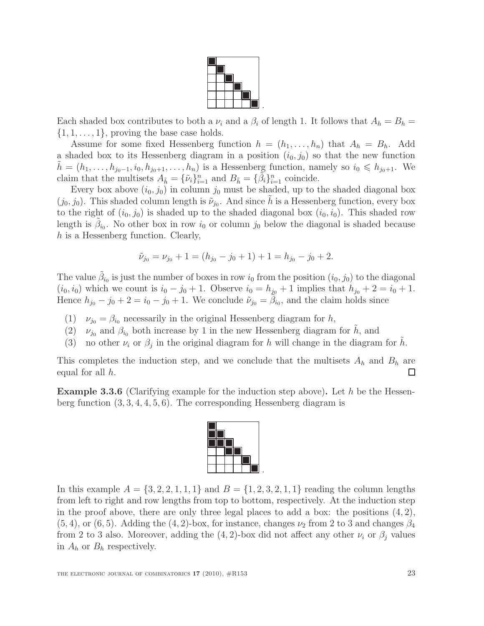

Each shaded box contributes to both a  $\nu_i$  and a  $\beta_i$  of length 1. It follows that  $A_h = B_h$  $\{1, 1, \ldots, 1\}$ , proving the base case holds.

Assume for some fixed Hessenberg function  $h = (h_1, \ldots, h_n)$  that  $A_h = B_h$ . Add a shaded box to its Hessenberg diagram in a position  $(i_0, j_0)$  so that the new function  $h = (h_1, \ldots, h_{j_0-1}, i_0, h_{j_0+1}, \ldots, h_n)$  is a Hessenberg function, namely so  $i_0 \leqslant h_{j_0+1}$ . We claim that the multisets  $A_{\tilde{h}} = {\tilde{\nu}_i}_{i=1}^n$  and  $B_{\tilde{h}} = {\tilde{\beta}_i}_{i=1}^n$  coincide.

Every box above  $(i_0, j_0)$  in column  $j_0$  must be shaded, up to the shaded diagonal box  $(j_0, j_0)$ . This shaded column length is  $\tilde{\nu}_{j_0}$ . And since  $\tilde{h}$  is a Hessenberg function, every box to the right of  $(i_0, j_0)$  is shaded up to the shaded diagonal box  $(i_0, i_0)$ . This shaded row length is  $\tilde{\beta}_{i_0}$ . No other box in row  $i_0$  or column  $j_0$  below the diagonal is shaded because h is a Hessenberg function. Clearly,

$$
\tilde{\nu}_{j_0} = \nu_{j_0} + 1 = (h_{j_0} - j_0 + 1) + 1 = h_{j_0} - j_0 + 2.
$$

The value  $\tilde{\beta}_{i_0}$  is just the number of boxes in row  $i_0$  from the position  $(i_0, j_0)$  to the diagonal  $(i_0, i_0)$  which we count is  $i_0 - j_0 + 1$ . Observe  $i_0 = h_{j_0} + 1$  implies that  $h_{j_0} + 2 = i_0 + 1$ . Hence  $h_{j_0} - j_0 + 2 = i_0 - j_0 + 1$ . We conclude  $\tilde{\nu}_{j_0} = \tilde{\beta}_{i_0}$ , and the claim holds since

- (1)  $\nu_{j0} = \beta_{i0}$  necessarily in the original Hessenberg diagram for h,
- (2)  $\nu_{j0}$  and  $\beta_{i0}$  both increase by 1 in the new Hessenberg diagram for h, and
- (3) no other  $\nu_i$  or  $\beta_j$  in the original diagram for h will change in the diagram for  $\tilde{h}$ .

This completes the induction step, and we conclude that the multisets  $A_h$  and  $B_h$  are equal for all  $h$ . □

**Example 3.3.6** (Clarifying example for the induction step above). Let h be the Hessenberg function (3, 3, 4, 4, 5, 6). The corresponding Hessenberg diagram is



<span id="page-22-0"></span>In this example  $A = \{3, 2, 2, 1, 1, 1\}$  and  $B = \{1, 2, 3, 2, 1, 1\}$  reading the column lengths from left to right and row lengths from top to bottom, respectively. At the induction step in the proof above, there are only three legal places to add a box: the positions  $(4, 2)$ ,  $(5, 4)$ , or  $(6, 5)$ . Adding the  $(4, 2)$ -box, for instance, changes  $\nu_2$  from 2 to 3 and changes  $\beta_4$ from 2 to 3 also. Moreover, adding the  $(4, 2)$ -box did not affect any other  $\nu_i$  or  $\beta_j$  values in  $A_h$  or  $B_h$  respectively.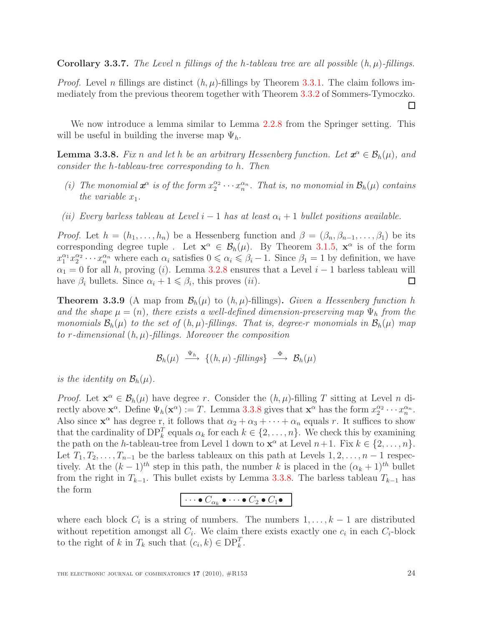**Corollary 3.3.7.** The Level n fillings of the h-tableau tree are all possible  $(h, \mu)$ -fillings.

*Proof.* Level n fillings are distinct  $(h, \mu)$ -fillings by Theorem [3.3.1.](#page-20-0) The claim follows immediately from the previous theorem together with Theorem [3.3.2](#page-20-1) of Sommers-Tymoczko. □

<span id="page-23-0"></span>We now introduce a lemma similar to Lemma [2.2.8](#page-9-1) from the Springer setting. This will be useful in building the inverse map  $\Psi_h$ .

**Lemma 3.3.8.** Fix n and let h be an arbitrary Hessenberg function. Let  $x^{\alpha} \in \mathcal{B}_h(\mu)$ , and consider the h-tableau-tree corresponding to h. Then

- (i) The monomial  $x^{\alpha}$  is of the form  $x_2^{\alpha_2} \cdots x_n^{\alpha_n}$ . That is, no monomial in  $\mathcal{B}_h(\mu)$  contains the variable  $x_1$ .
- (ii) Every barless tableau at Level  $i-1$  has at least  $\alpha_i+1$  bullet positions available.

*Proof.* Let  $h = (h_1, \ldots, h_n)$  be a Hessenberg function and  $\beta = (\beta_n, \beta_{n-1}, \ldots, \beta_1)$  be its corresponding degree tuple. Let  $\mathbf{x}^{\alpha} \in \mathcal{B}_h(\mu)$ . By Theorem [3.1.5,](#page-16-1)  $\mathbf{x}^{\alpha}$  is of the form  $x_1^{\alpha_1} x_2^{\alpha_2} \cdots x_n^{\alpha_n}$  where each  $\alpha_i$  satisfies  $0 \le \alpha_i \le \beta_i - 1$ . Since  $\beta_1 = 1$  by definition, we have  $\alpha_1 = 0$  for all h, proving (i). Lemma [3.2.8](#page-18-2) ensures that a Level i – 1 barless tableau will have  $\beta_i$  bullets. Since  $\alpha_i + 1 \leq \beta_i$ , this proves  $(ii)$ .  $\Box$ 

<span id="page-23-1"></span>**Theorem 3.3.9** (A map from  $\mathcal{B}_h(\mu)$  to  $(h, \mu)$ -fillings). Given a Hessenberg function h and the shape  $\mu = (n)$ , there exists a well-defined dimension-preserving map  $\Psi_h$  from the monomials  $\mathcal{B}_h(\mu)$  to the set of  $(h, \mu)$ -fillings. That is, degree-r monomials in  $\mathcal{B}_h(\mu)$  map to r-dimensional  $(h, \mu)$ -fillings. Moreover the composition

$$
\mathcal{B}_h(\mu) \stackrel{\Psi_h}{\longrightarrow} \{(h,\mu)\text{-fillings}\} \stackrel{\Phi}{\longrightarrow} \mathcal{B}_h(\mu)
$$

is the identity on  $\mathcal{B}_h(\mu)$ .

*Proof.* Let  $\mathbf{x}^{\alpha} \in \mathcal{B}_{h}(\mu)$  have degree r. Consider the  $(h, \mu)$ -filling T sitting at Level n directly above  $\mathbf{x}^{\alpha}$ . Define  $\Psi_h(\mathbf{x}^{\alpha}) := T$ . Lemma [3.3.8](#page-23-0) gives that  $\mathbf{x}^{\alpha}$  has the form  $x_2^{\alpha_2} \cdots x_n^{\alpha_n}$ . Also since  $\mathbf{x}^{\alpha}$  has degree r, it follows that  $\alpha_2 + \alpha_3 + \cdots + \alpha_n$  equals r. It suffices to show that the cardinality of  $\text{DP}_k^T$  equals  $\alpha_k$  for each  $k \in \{2, \ldots, n\}$ . We check this by examining the path on the h-tableau-tree from Level 1 down to  $\mathbf{x}^{\alpha}$  at Level  $n+1$ . Fix  $k \in \{2, ..., n\}$ . Let  $T_1, T_2, \ldots, T_{n-1}$  be the barless tableaux on this path at Levels  $1, 2, \ldots, n-1$  respectively. At the  $(k-1)^{th}$  step in this path, the number k is placed in the  $(\alpha_k + 1)^{th}$  bullet from the right in  $T_{k-1}$ . This bullet exists by Lemma [3.3.8.](#page-23-0) The barless tableau  $T_{k-1}$  has the form

$$
\cdots \bullet C_{\alpha_k} \bullet \cdots \bullet C_2 \bullet C_1 \bullet
$$

where each block  $C_i$  is a string of numbers. The numbers  $1, \ldots, k-1$  are distributed without repetition amongst all  $C_i$ . We claim there exists exactly one  $c_i$  in each  $C_i$ -block to the right of k in  $T_k$  such that  $(c_i, k) \in \text{DP}_k^T$ .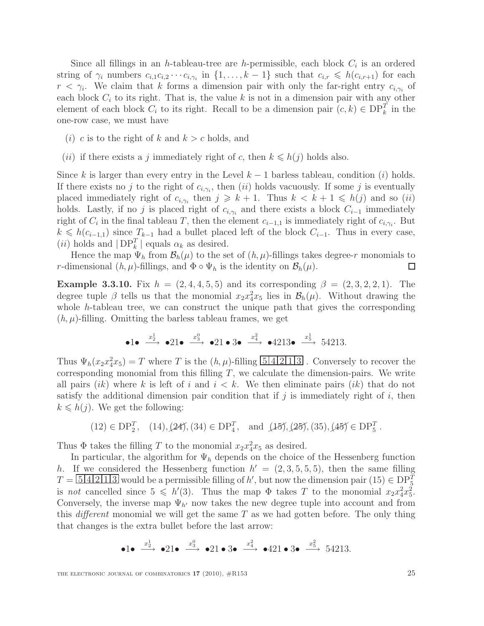Since all fillings in an h-tableau-tree are h-permissible, each block  $C_i$  is an ordered string of  $\gamma_i$  numbers  $c_{i,1}c_{i,2}\cdots c_{i,\gamma_i}$  in  $\{1,\ldots,k-1\}$  such that  $c_{i,r} \leqslant h(c_{i,r+1})$  for each  $r < \gamma_i$ . We claim that k forms a dimension pair with only the far-right entry  $c_{i,\gamma_i}$  of each block  $C_i$  to its right. That is, the value k is not in a dimension pair with any other element of each block  $C_i$  to its right. Recall to be a dimension pair  $(c, k) \in \text{DP}_k^T$  in the one-row case, we must have

- (*i*) c is to the right of k and  $k > c$  holds, and
- (*ii*) if there exists a j immediately right of c, then  $k \le h(j)$  holds also.

Since k is larger than every entry in the Level  $k-1$  barless tableau, condition (i) holds. If there exists no j to the right of  $c_{i,\gamma_i}$ , then (ii) holds vacuously. If some j is eventually placed immediately right of  $c_{i,\gamma_i}$  then  $j \geq k+1$ . Thus  $k < k+1 \leq h(j)$  and so  $(ii)$ holds. Lastly, if no j is placed right of  $c_{i,\gamma_i}$  and there exists a block  $C_{i-1}$  immediately right of  $C_i$  in the final tableau T, then the element  $c_{i-1,1}$  is immediately right of  $c_{i,\gamma_i}$ . But  $k \leq h(c_{i-1,1})$  since  $T_{k-1}$  had a bullet placed left of the block  $C_{i-1}$ . Thus in every case, (*ii*) holds and  $|DP_k^T|$  equals  $\alpha_k$  as desired.

Hence the map  $\Psi_h$  from  $\mathcal{B}_h(\mu)$  to the set of  $(h, \mu)$ -fillings takes degree-r monomials to r-dimensional  $(h, \mu)$ -fillings, and  $\Phi \circ \Psi_h$  is the identity on  $\mathcal{B}_h(\mu)$ . □

**Example 3.3.10.** Fix  $h = (2, 4, 4, 5, 5)$  and its corresponding  $\beta = (2, 3, 2, 2, 1)$ . The degree tuple  $\beta$  tells us that the monomial  $x_2 x_4^2 x_5$  lies in  $\mathcal{B}_h(\mu)$ . Without drawing the whole h-tableau tree, we can construct the unique path that gives the corresponding  $(h, \mu)$ -filling. Omitting the barless tableau frames, we get

$$
\bullet 1 \bullet \xrightarrow{x_2^1} \bullet 21 \bullet \xrightarrow{x_3^0} \bullet 21 \bullet 3 \bullet \xrightarrow{x_4^2} \bullet 4213 \bullet \xrightarrow{x_5^1} 54213.
$$

Thus  $\Psi_h(x_2 x_4^2 x_5) = T$  where T is the  $(h, \mu)$ -filling  $5/4/2/1/3$ . Conversely to recover the corresponding monomial from this filling  $T$ , we calculate the dimension-pairs. We write all pairs  $(ik)$  where k is left of i and  $i < k$ . We then eliminate pairs  $(ik)$  that do not satisfy the additional dimension pair condition that if j is immediately right of i, then  $k \leq h(j)$ . We get the following:

$$
(12) \in \text{DP}_2^T, \quad (14), (24), (34) \in \text{DP}_4^T, \quad \text{and } (15), (25), (35), (45) \in \text{DP}_5^T.
$$

Thus  $\Phi$  takes the filling T to the monomial  $x_2x_4^2x_5$  as desired.

In particular, the algorithm for  $\Psi_h$  depends on the choice of the Hessenberg function h. If we considered the Hessenberg function  $h' = (2, 3, 5, 5, 5)$ , then the same filling  $T = 542113$  would be a permissible filling of h', but now the dimension pair  $(15) \in \text{DP}_5^T$ is not cancelled since  $5 \le h'(3)$ . Thus the map  $\Phi$  takes T to the monomial  $x_2 x_4^2 x_5^2$ . Conversely, the inverse map  $\Psi_{h'}$  now takes the new degree tuple into account and from this *different* monomial we will get the same  $T$  as we had gotten before. The only thing that changes is the extra bullet before the last arrow:

$$
\bullet 1 \bullet \xrightarrow{x_2^1} \bullet 21 \bullet \xrightarrow{x_3^0} \bullet 21 \bullet 3 \bullet \xrightarrow{x_4^2} \bullet 421 \bullet 3 \bullet \xrightarrow{x_5^2} 54213.
$$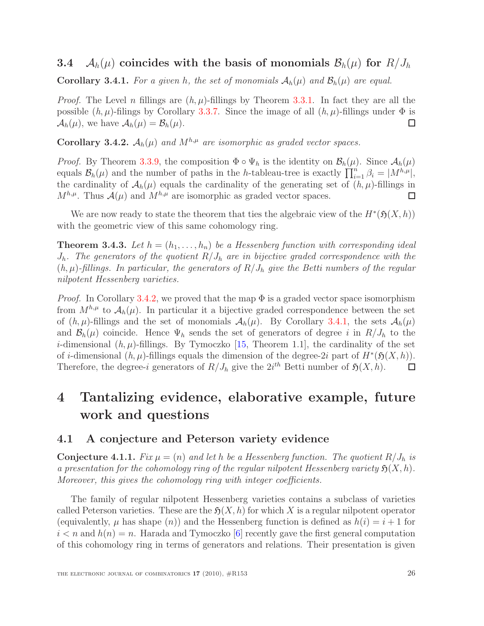### <span id="page-25-5"></span><span id="page-25-0"></span>3.4  $\mathcal{A}_h(\mu)$  coincides with the basis of monomials  $\mathcal{B}_h(\mu)$  for  $R/J_h$

**Corollary 3.4.1.** For a given h, the set of monomials  $A_h(\mu)$  and  $B_h(\mu)$  are equal.

*Proof.* The Level n fillings are  $(h, \mu)$ -fillings by Theorem [3.3.1.](#page-20-0) In fact they are all the possible  $(h, \mu)$ -filings by Corollary [3.3.7.](#page-22-0) Since the image of all  $(h, \mu)$ -fillings under  $\Phi$  is  $\mathcal{A}_h(\mu)$ , we have  $\mathcal{A}_h(\mu) = \mathcal{B}_h(\mu)$ . ◻

<span id="page-25-4"></span>Corollary 3.4.2.  $A_h(\mu)$  and  $M^{h,\mu}$  are isomorphic as graded vector spaces.

*Proof.* By Theorem [3.3.9,](#page-23-1) the composition  $\Phi \circ \Psi_h$  is the identity on  $\mathcal{B}_h(\mu)$ . Since  $\mathcal{A}_h(\mu)$ equals  $\mathcal{B}_h(\mu)$  and the number of paths in the h-tableau-tree is exactly  $\prod_{i=1}^n \beta_i = |M^{h,\mu}|$ , the cardinality of  $\mathcal{A}_h(\mu)$  equals the cardinality of the generating set of  $(h, \mu)$ -fillings in  $M^{h,\mu}$ . Thus  $\mathcal{A}(\mu)$  and  $M^{h,\mu}$  are isomorphic as graded vector spaces.  $\Box$ 

<span id="page-25-3"></span>We are now ready to state the theorem that ties the algebraic view of the  $H^*(\mathfrak{H}(X,h))$ with the geometric view of this same cohomology ring.

**Theorem 3.4.3.** Let  $h = (h_1, \ldots, h_n)$  be a Hessenberg function with corresponding ideal  $J_h$ . The generators of the quotient  $R/J_h$  are in bijective graded correspondence with the  $(h, \mu)$ -fillings. In particular, the generators of  $R/J_h$  give the Betti numbers of the regular nilpotent Hessenberg varieties.

*Proof.* In Corollary [3.4.2,](#page-25-4) we proved that the map  $\Phi$  is a graded vector space isomorphism from  $M^{h,\mu}$  to  $\mathcal{A}_h(\mu)$ . In particular it a bijective graded correspondence between the set of  $(h, \mu)$ -fillings and the set of monomials  $\mathcal{A}_h(\mu)$ . By Corollary [3.4.1,](#page-25-5) the sets  $\mathcal{A}_h(\mu)$ and  $\mathcal{B}_h(\mu)$  coincide. Hence  $\Psi_h$  sends the set of generators of degree i in  $R/J_h$  to the *i*-dimensional  $(h, \mu)$ -fillings. By Tymoczko [\[15,](#page-28-3) Theorem 1.1], the cardinality of the set of *i*-dimensional  $(h, \mu)$ -fillings equals the dimension of the degree-2*i* part of  $H^*(\mathfrak{H}(X, h))$ . Therefore, the degree-i generators of  $R/J_h$  give the  $2i^{th}$  Betti number of  $\mathfrak{H}(X,h)$ .  $\Box$ 

## <span id="page-25-1"></span>4 Tantalizing evidence, elaborative example, future work and questions

#### <span id="page-25-2"></span>4.1 A conjecture and Peterson variety evidence

**Conjecture 4.1.1.** Fix  $\mu = (n)$  and let h be a Hessenberg function. The quotient  $R/J_h$  is a presentation for the cohomology ring of the regular nilpotent Hessenberg variety  $\mathfrak{H}(X, h)$ . Moreover, this gives the cohomology ring with integer coefficients.

The family of regular nilpotent Hessenberg varieties contains a subclass of varieties called Peterson varieties. These are the  $\mathfrak{H}(X, h)$  for which X is a regular nilpotent operator (equivalently,  $\mu$  has shape  $(n)$ ) and the Hessenberg function is defined as  $h(i) = i + 1$  for  $i < n$  and  $h(n) = n$ . Harada and Tymoczko [\[6\]](#page-27-4) recently gave the first general computation of this cohomology ring in terms of generators and relations. Their presentation is given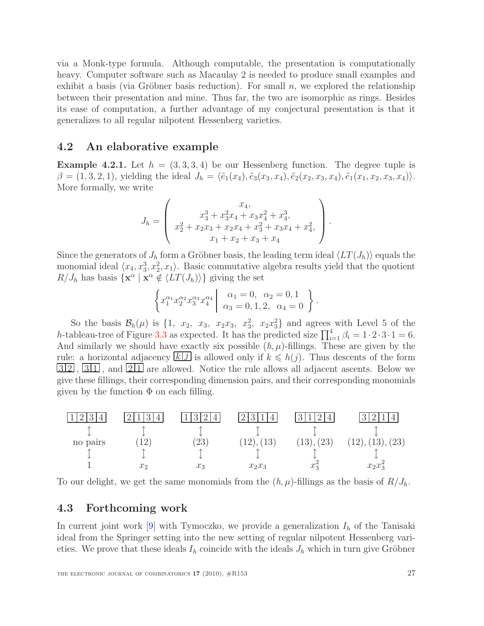via a Monk-type formula. Although computable, the presentation is computationally heavy. Computer software such as Macaulay 2 is needed to produce small examples and exhibit a basis (via Gröbner basis reduction). For small  $n$ , we explored the relationship between their presentation and mine. Thus far, the two are isomorphic as rings. Besides its ease of computation, a further advantage of my conjectural presentation is that it generalizes to all regular nilpotent Hessenberg varieties.

#### <span id="page-26-0"></span>4.2 An elaborative example

**Example 4.2.1.** Let  $h = (3, 3, 3, 4)$  be our Hessenberg function. The degree tuple is  $\beta = (1, 3, 2, 1),$  yielding the ideal  $J_h = \langle \tilde{e}_1(x_4), \tilde{e}_3(x_3, x_4), \tilde{e}_2(x_2, x_3, x_4), \tilde{e}_1(x_1, x_2, x_3, x_4)\rangle.$ More formally, we write

$$
J_h = \begin{pmatrix} x_4, \\ x_3^3 + x_3^2x_4 + x_3x_4^2 + x_4^3, \\ x_2^2 + x_2x_3 + x_2x_4 + x_3^2 + x_3x_4 + x_4^2, \\ x_1 + x_2 + x_3 + x_4 \end{pmatrix}.
$$

Since the generators of  $J_h$  form a Gröbner basis, the leading term ideal  $\langle LT(J_h)\rangle$  equals the monomial ideal  $\langle x_4, x_3^3, x_2^2, x_1 \rangle$ . Basic commutative algebra results yield that the quotient  $R/J_h$  has basis  $\{ \mathbf{x}^\alpha \mid \mathbf{x}^\alpha \notin \langle LT(J_h) \rangle \}$  giving the set

$$
\left\{ x_1^{\alpha_1} x_2^{\alpha_2} x_3^{\alpha_3} x_4^{\alpha_4} \middle| \begin{array}{c} \alpha_1 = 0, \ \alpha_2 = 0, 1 \\ \alpha_3 = 0, 1, 2, \ \alpha_4 = 0 \end{array} \right\}.
$$

So the basis  $\mathcal{B}_h(\mu)$  is  $\{1, x_2, x_3, x_2x_3, x_3^2, x_2x_3^2\}$  and agrees with Level 5 of the h-tableau-tree of Figure [3.3](#page-19-1) as expected. It has the predicted size  $\prod_{i=1}^{4} \beta_i = 1 \cdot 2 \cdot 3 \cdot 1 = 6$ . And similarly we should have exactly six possible  $(h, \mu)$ -fillings. These are given by the rule: a horizontal adjacency  $\boxed{k \ j}$  is allowed only if  $k \leq h(j)$ . Thus descents of the form  $\boxed{32}$ ,  $\boxed{311}$ , and  $\boxed{211}$  are allowed. Notice the rule allows all adjacent ascents. Below we give these fillings, their corresponding dimension pairs, and their corresponding monomials given by the function  $\Phi$  on each filling.



To our delight, we get the same monomials from the  $(h, \mu)$ -fillings as the basis of  $R/J_h$ .

### <span id="page-26-1"></span>4.3 Forthcoming work

In current joint work [\[9\]](#page-27-8) with Tymoczko, we provide a generalization  $I_h$  of the Tanisaki ideal from the Springer setting into the new setting of regular nilpotent Hessenberg varieties. We prove that these ideals  $I_h$  coincide with the ideals  $J_h$  which in turn give Gröbner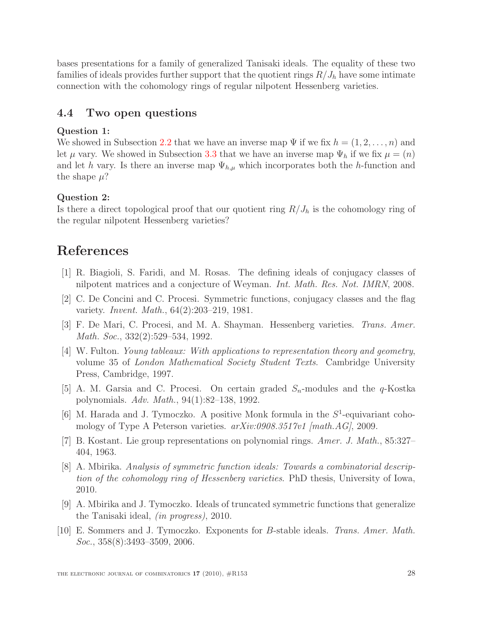bases presentations for a family of generalized Tanisaki ideals. The equality of these two families of ideals provides further support that the quotient rings  $R/J_h$  have some intimate connection with the cohomology rings of regular nilpotent Hessenberg varieties.

#### <span id="page-27-0"></span>4.4 Two open questions

#### Question 1:

We showed in Subsection [2.2](#page-7-1) that we have an inverse map  $\Psi$  if we fix  $h = (1, 2, \ldots, n)$  and let  $\mu$  vary. We showed in Subsection [3.3](#page-19-0) that we have an inverse map  $\Psi_h$  if we fix  $\mu = (n)$ and let h vary. Is there an inverse map  $\Psi_{h,\mu}$  which incorporates both the h-function and the shape  $\mu$ ?

#### Question 2:

Is there a direct topological proof that our quotient ring  $R/J_h$  is the cohomology ring of the regular nilpotent Hessenberg varieties?

## <span id="page-27-6"></span>References

- <span id="page-27-1"></span>[1] R. Biagioli, S. Faridi, and M. Rosas. The defining ideals of conjugacy classes of nilpotent matrices and a conjecture of Weyman. Int. Math. Res. Not. IMRN, 2008.
- <span id="page-27-3"></span>[2] C. De Concini and C. Procesi. Symmetric functions, conjugacy classes and the flag variety. Invent. Math., 64(2):203–219, 1981.
- <span id="page-27-9"></span>[3] F. De Mari, C. Procesi, and M. A. Shayman. Hessenberg varieties. Trans. Amer. Math. Soc., 332(2):529–534, 1992.
- [4] W. Fulton. Young tableaux: With applications to representation theory and geometry, volume 35 of London Mathematical Society Student Texts. Cambridge University Press, Cambridge, 1997.
- <span id="page-27-4"></span><span id="page-27-2"></span>[5] A. M. Garsia and C. Procesi. On certain graded  $S_n$ -modules and the  $q$ -Kostka polynomials. Adv. Math., 94(1):82–138, 1992.
- [6] M. Harada and J. Tymoczko. A positive Monk formula in the  $S^1$ -equivariant cohomology of Type A Peterson varieties.  $arXiv:0908.3517v1$  [math.AG], 2009.
- <span id="page-27-7"></span><span id="page-27-5"></span>[7] B. Kostant. Lie group representations on polynomial rings. Amer. J. Math., 85:327– 404, 1963.
- [8] A. Mbirika. Analysis of symmetric function ideals: Towards a combinatorial description of the cohomology ring of Hessenberg varieties. PhD thesis, University of Iowa, 2010.
- <span id="page-27-8"></span>[9] A. Mbirika and J. Tymoczko. Ideals of truncated symmetric functions that generalize the Tanisaki ideal, (in progress), 2010.
- <span id="page-27-10"></span>[10] E. Sommers and J. Tymoczko. Exponents for B-stable ideals. Trans. Amer. Math. Soc., 358(8):3493–3509, 2006.